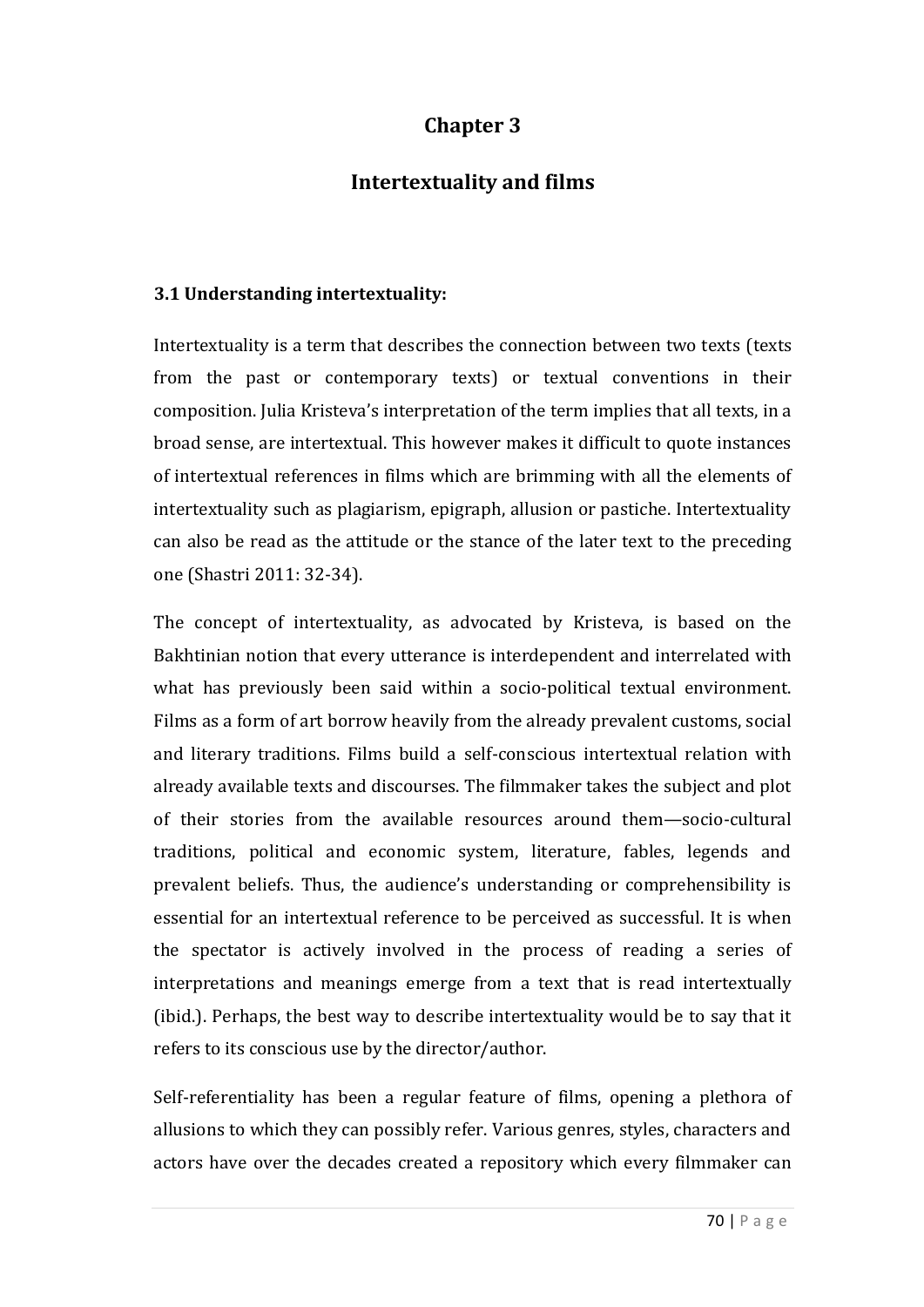# **Chapter 3**

### **Intertextuality and films**

#### **3.1 Understanding intertextuality:**

Intertextuality is a term that describes the connection between two texts (texts from the past or contemporary texts) or textual conventions in their composition. Julia Kristeva's interpretation of the term implies that all texts, in a broad sense, are intertextual. This however makes it difficult to quote instances of intertextual references in films which are brimming with all the elements of intertextuality such as plagiarism, epigraph, allusion or pastiche. Intertextuality can also be read as the attitude or the stance of the later text to the preceding one (Shastri 2011: 32-34).

The concept of intertextuality, as advocated by Kristeva, is based on the Bakhtinian notion that every utterance is interdependent and interrelated with what has previously been said within a socio-political textual environment. Films as a form of art borrow heavily from the already prevalent customs, social and literary traditions. Films build a self-conscious intertextual relation with already available texts and discourses. The filmmaker takes the subject and plot of their stories from the available resources around them—socio-cultural traditions, political and economic system, literature, fables, legends and prevalent beliefs. Thus, the audience's understanding or comprehensibility is essential for an intertextual reference to be perceived as successful. It is when the spectator is actively involved in the process of reading a series of interpretations and meanings emerge from a text that is read intertextually (ibid.). Perhaps, the best way to describe intertextuality would be to say that it refers to its conscious use by the director/author.

Self-referentiality has been a regular feature of films, opening a plethora of allusions to which they can possibly refer. Various genres, styles, characters and actors have over the decades created a repository which every filmmaker can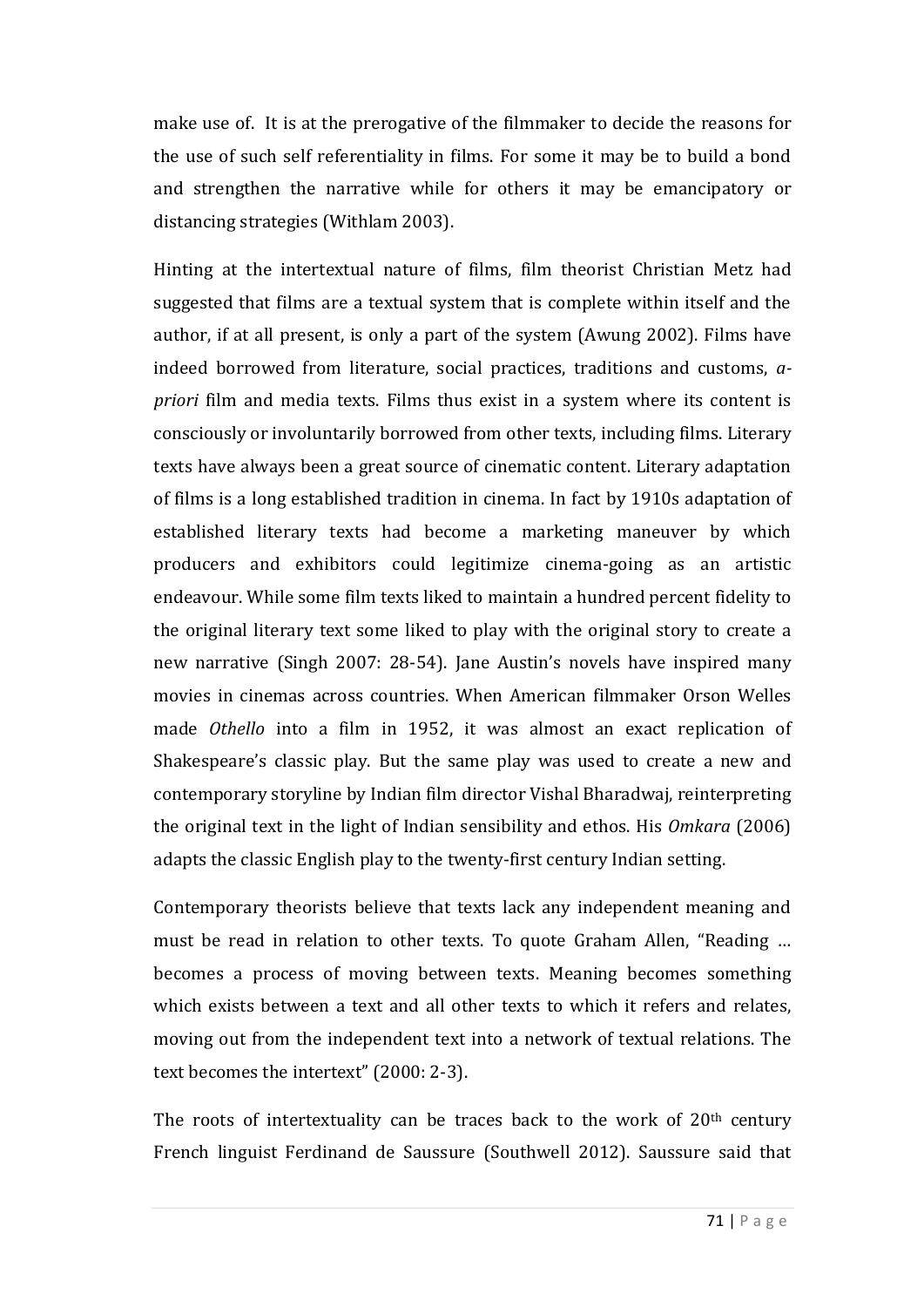make use of. It is at the prerogative of the filmmaker to decide the reasons for the use of such self referentiality in films. For some it may be to build a bond and strengthen the narrative while for others it may be emancipatory or distancing strategies (Withlam 2003).

Hinting at the intertextual nature of films, film theorist Christian Metz had suggested that films are a textual system that is complete within itself and the author, if at all present, is only a part of the system (Awung 2002). Films have indeed borrowed from literature, social practices, traditions and customs, *apriori* film and media texts. Films thus exist in a system where its content is consciously or involuntarily borrowed from other texts, including films. Literary texts have always been a great source of cinematic content. Literary adaptation of films is a long established tradition in cinema. In fact by 1910s adaptation of established literary texts had become a marketing maneuver by which producers and exhibitors could legitimize cinema-going as an artistic endeavour. While some film texts liked to maintain a hundred percent fidelity to the original literary text some liked to play with the original story to create a new narrative (Singh 2007: 28-54). Jane Austin's novels have inspired many movies in cinemas across countries. When American filmmaker Orson Welles made *Othello* into a film in 1952, it was almost an exact replication of Shakespeare's classic play. But the same play was used to create a new and contemporary storyline by Indian film director Vishal Bharadwaj, reinterpreting the original text in the light of Indian sensibility and ethos. His *Omkara* (2006) adapts the classic English play to the twenty-first century Indian setting.

Contemporary theorists believe that texts lack any independent meaning and must be read in relation to other texts. To quote Graham Allen, "Reading … becomes a process of moving between texts. Meaning becomes something which exists between a text and all other texts to which it refers and relates, moving out from the independent text into a network of textual relations. The text becomes the intertext" (2000: 2-3).

The roots of intertextuality can be traces back to the work of  $20<sup>th</sup>$  century French linguist Ferdinand de Saussure (Southwell 2012). Saussure said that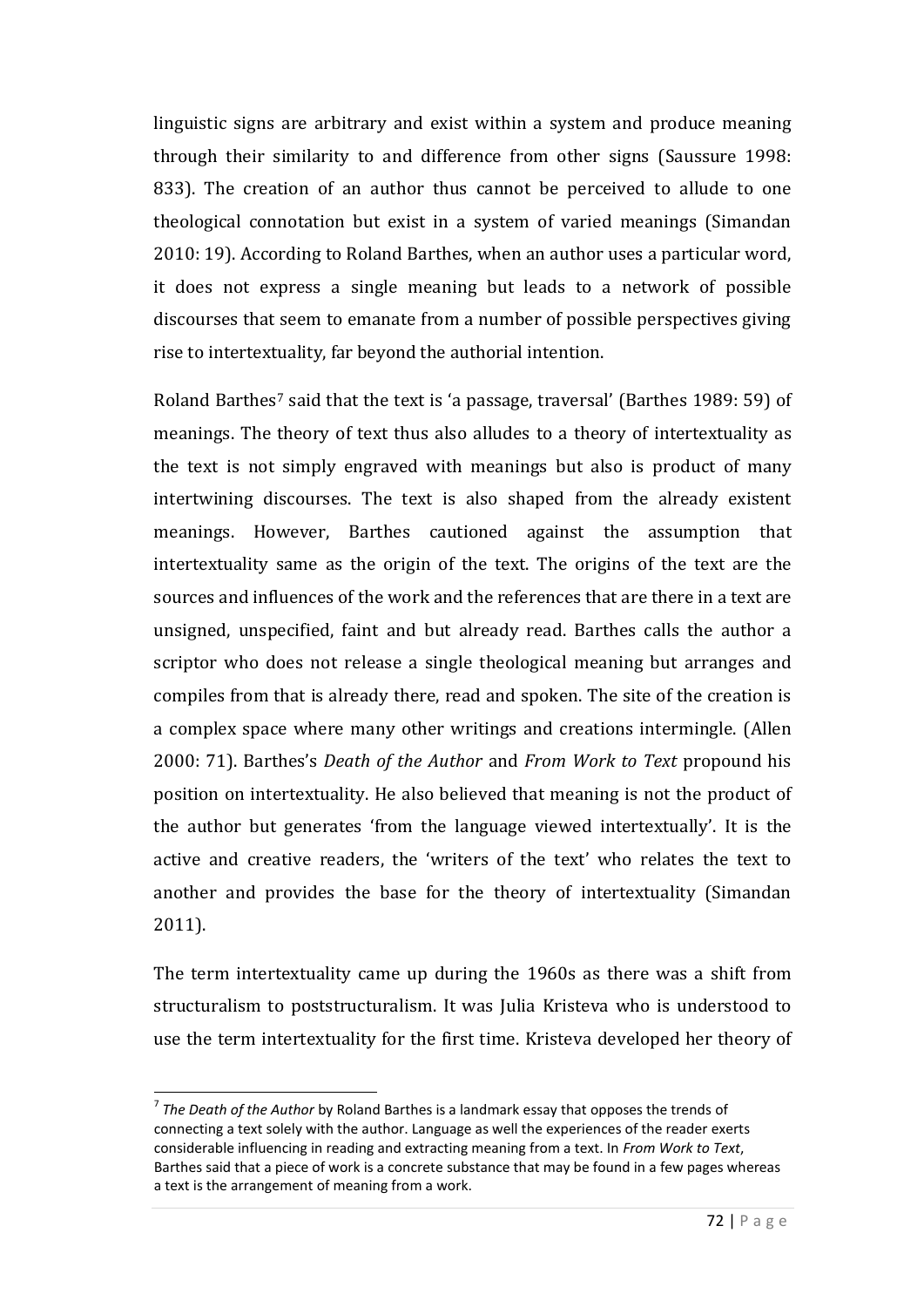linguistic signs are arbitrary and exist within a system and produce meaning through their similarity to and difference from other signs (Saussure 1998: 833). The creation of an author thus cannot be perceived to allude to one theological connotation but exist in a system of varied meanings (Simandan 2010: 19). According to Roland Barthes, when an author uses a particular word, it does not express a single meaning but leads to a network of possible discourses that seem to emanate from a number of possible perspectives giving rise to intertextuality, far beyond the authorial intention.

Roland Barthes<sup>7</sup> said that the text is 'a passage, traversal' (Barthes 1989: 59) of meanings. The theory of text thus also alludes to a theory of intertextuality as the text is not simply engraved with meanings but also is product of many intertwining discourses. The text is also shaped from the already existent meanings. However, Barthes cautioned against the assumption that intertextuality same as the origin of the text. The origins of the text are the sources and influences of the work and the references that are there in a text are unsigned, unspecified, faint and but already read. Barthes calls the author a scriptor who does not release a single theological meaning but arranges and compiles from that is already there, read and spoken. The site of the creation is a complex space where many other writings and creations intermingle. (Allen 2000: 71). Barthes's *Death of the Author* and *From Work to Text* propound his position on intertextuality. He also believed that meaning is not the product of the author but generates 'from the language viewed intertextually'. It is the active and creative readers, the 'writers of the text' who relates the text to another and provides the base for the theory of intertextuality (Simandan 2011).

The term intertextuality came up during the 1960s as there was a shift from structuralism to poststructuralism. It was Julia Kristeva who is understood to use the term intertextuality for the first time. Kristeva developed her theory of

 $\overline{a}$ 

<sup>7</sup> *The Death of the Author* by Roland Barthes is a landmark essay that opposes the trends of connecting a text solely with the author. Language as well the experiences of the reader exerts considerable influencing in reading and extracting meaning from a text. In *From Work to Text*, Barthes said that a piece of work is a concrete substance that may be found in a few pages whereas a text is the arrangement of meaning from a work.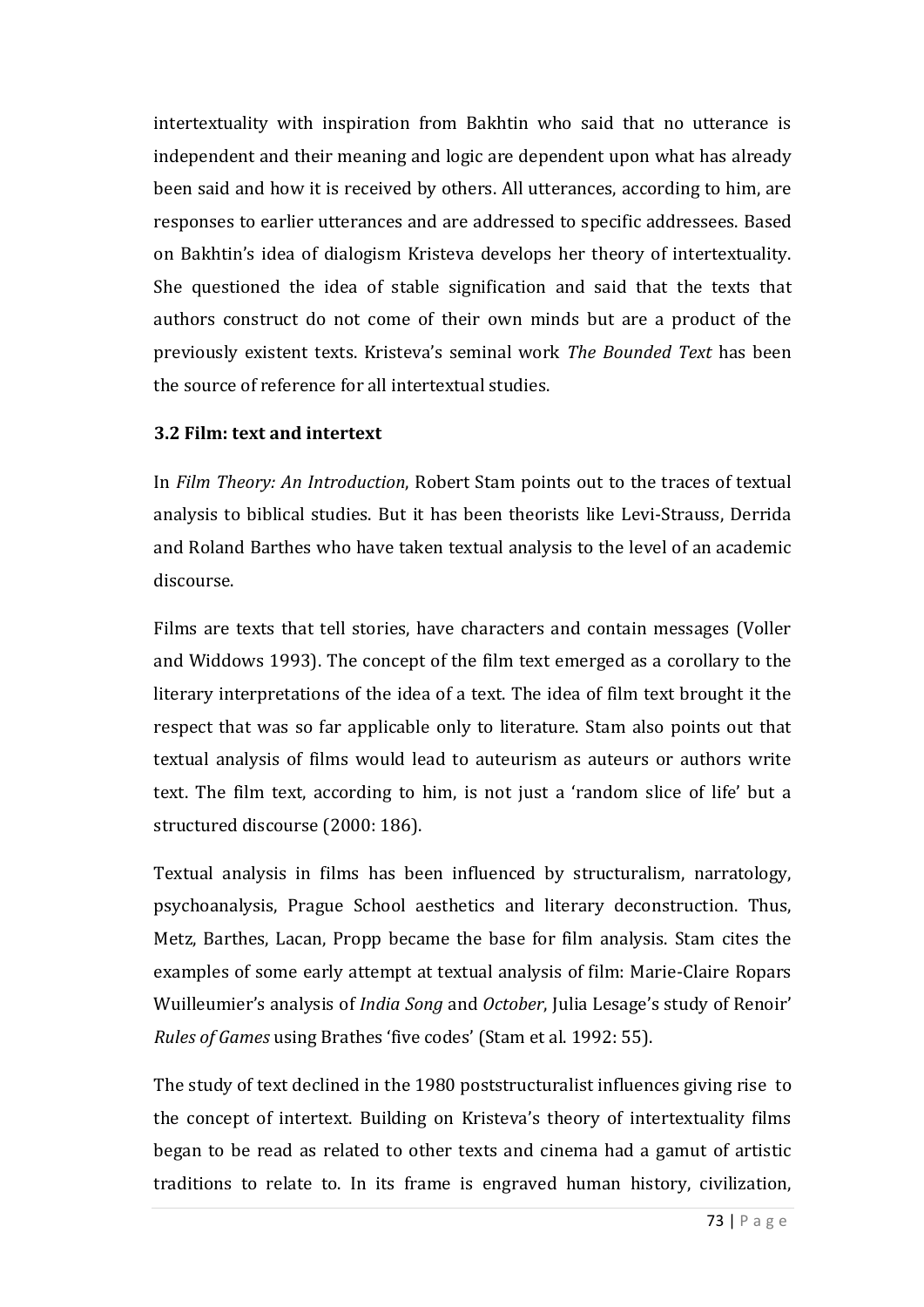intertextuality with inspiration from Bakhtin who said that no utterance is independent and their meaning and logic are dependent upon what has already been said and how it is received by others. All utterances, according to him, are responses to earlier utterances and are addressed to specific addressees. Based on Bakhtin's idea of dialogism Kristeva develops her theory of intertextuality. She questioned the idea of stable signification and said that the texts that authors construct do not come of their own minds but are a product of the previously existent texts. Kristeva's seminal work *The Bounded Text* has been the source of reference for all intertextual studies.

### **3.2 Film: text and intertext**

In *Film Theory: An Introduction*, Robert Stam points out to the traces of textual analysis to biblical studies. But it has been theorists like Levi-Strauss, Derrida and Roland Barthes who have taken textual analysis to the level of an academic discourse.

Films are texts that tell stories, have characters and contain messages (Voller and Widdows 1993). The concept of the film text emerged as a corollary to the literary interpretations of the idea of a text. The idea of film text brought it the respect that was so far applicable only to literature. Stam also points out that textual analysis of films would lead to auteurism as auteurs or authors write text. The film text, according to him, is not just a 'random slice of life' but a structured discourse (2000: 186).

Textual analysis in films has been influenced by structuralism, narratology, psychoanalysis, Prague School aesthetics and literary deconstruction. Thus, Metz, Barthes, Lacan, Propp became the base for film analysis. Stam cites the examples of some early attempt at textual analysis of film: Marie-Claire Ropars Wuilleumier's analysis of *India Song* and *October*, Julia Lesage's study of Renoir' *Rules of Games* using Brathes 'five codes' (Stam et al. 1992: 55).

The study of text declined in the 1980 poststructuralist influences giving rise to the concept of intertext. Building on Kristeva's theory of intertextuality films began to be read as related to other texts and cinema had a gamut of artistic traditions to relate to. In its frame is engraved human history, civilization,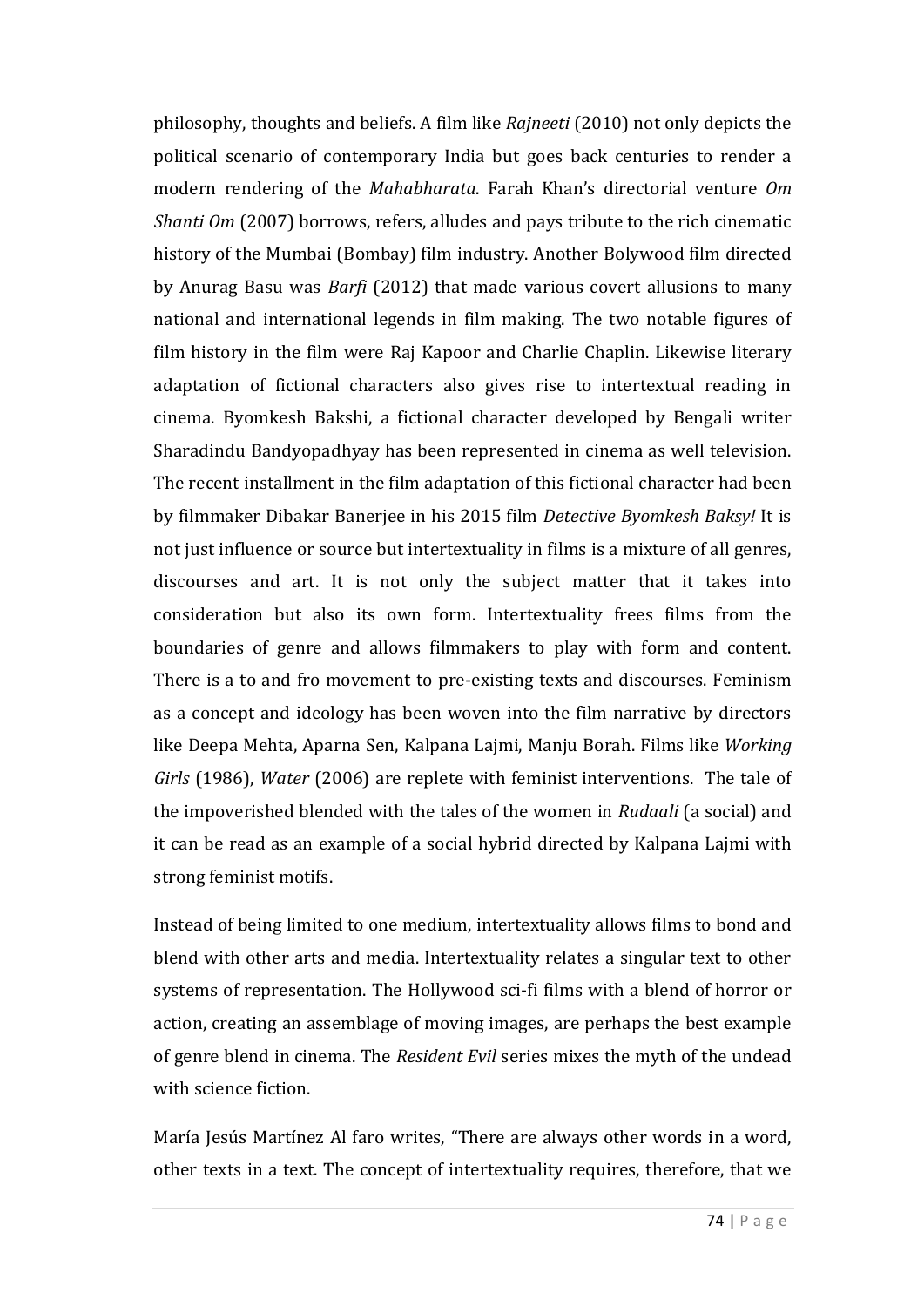philosophy, thoughts and beliefs. A film like *Rajneeti* (2010) not only depicts the political scenario of contemporary India but goes back centuries to render a modern rendering of the *Mahabharata*. Farah Khan's directorial venture *Om Shanti Om* (2007) borrows, refers, alludes and pays tribute to the rich cinematic history of the Mumbai (Bombay) film industry. Another Bolywood film directed by Anurag Basu was *Barfi* (2012) that made various covert allusions to many national and international legends in film making. The two notable figures of film history in the film were Raj Kapoor and Charlie Chaplin. Likewise literary adaptation of fictional characters also gives rise to intertextual reading in cinema. Byomkesh Bakshi, a fictional character developed by Bengali writer Sharadindu Bandyopadhyay has been represented in cinema as well television. The recent installment in the film adaptation of this fictional character had been by filmmaker Dibakar Banerjee in his 2015 film *Detective Byomkesh Baksy!* It is not just influence or source but intertextuality in films is a mixture of all genres, discourses and art. It is not only the subject matter that it takes into consideration but also its own form. Intertextuality frees films from the boundaries of genre and allows filmmakers to play with form and content. There is a to and fro movement to pre-existing texts and discourses. Feminism as a concept and ideology has been woven into the film narrative by directors like Deepa Mehta, Aparna Sen, Kalpana Lajmi, Manju Borah. Films like *Working Girls* (1986), *Water* (2006) are replete with feminist interventions. The tale of the impoverished blended with the tales of the women in *Rudaali* (a social) and it can be read as an example of a social hybrid directed by Kalpana Lajmi with strong feminist motifs.

Instead of being limited to one medium, intertextuality allows films to bond and blend with other arts and media. Intertextuality relates a singular text to other systems of representation. The Hollywood sci-fi films with a blend of horror or action, creating an assemblage of moving images, are perhaps the best example of genre blend in cinema. The *Resident Evil* series mixes the myth of the undead with science fiction.

María Jesús Martínez Al faro writes, "There are always other words in a word, other texts in a text. The concept of intertextuality requires, therefore, that we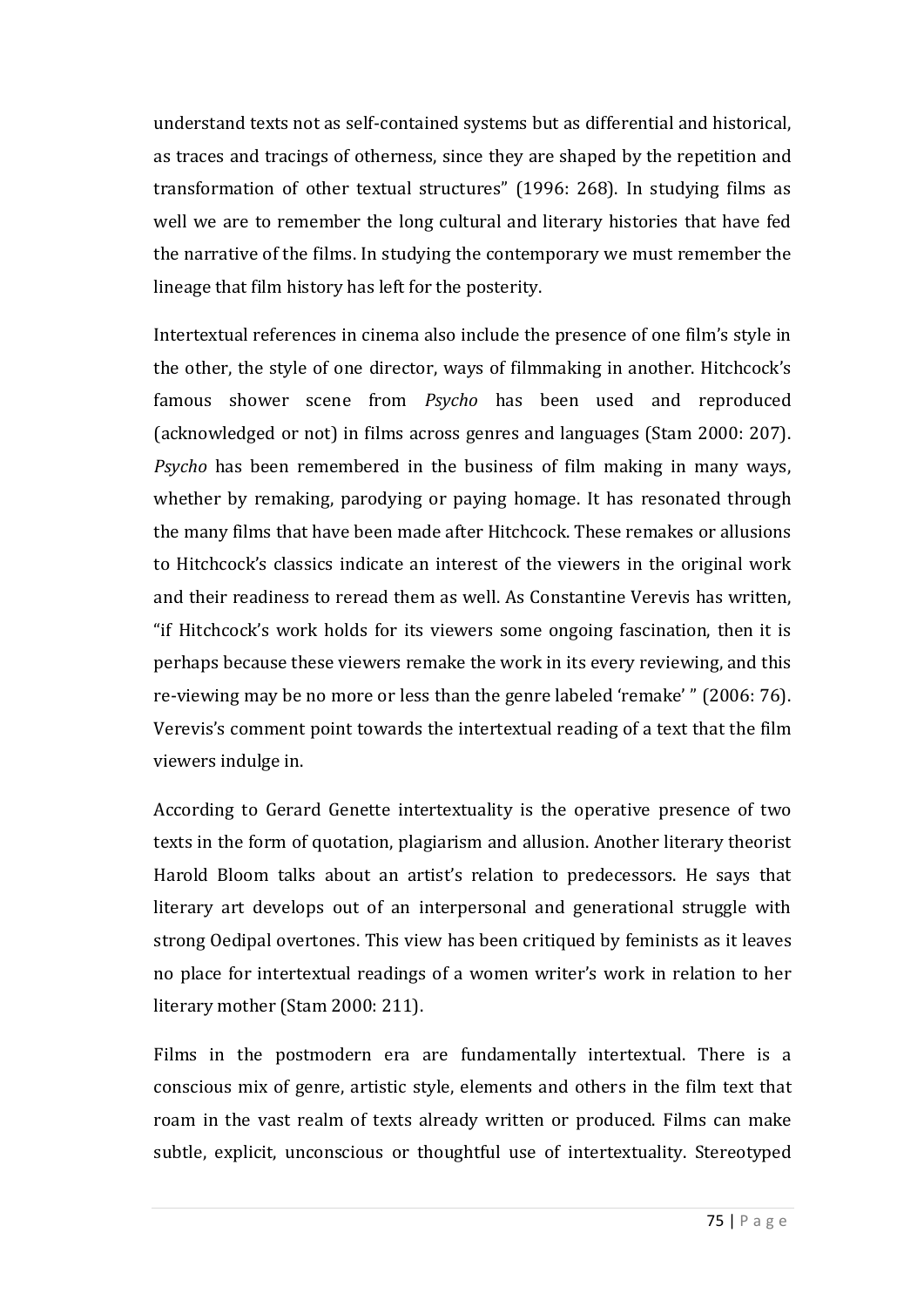understand texts not as self-contained systems but as differential and historical, as traces and tracings of otherness, since they are shaped by the repetition and transformation of other textual structures" (1996: 268). In studying films as well we are to remember the long cultural and literary histories that have fed the narrative of the films. In studying the contemporary we must remember the lineage that film history has left for the posterity.

Intertextual references in cinema also include the presence of one film's style in the other, the style of one director, ways of filmmaking in another. Hitchcock's famous shower scene from *Psycho* has been used and reproduced (acknowledged or not) in films across genres and languages (Stam 2000: 207). *Psycho* has been remembered in the business of film making in many ways, whether by remaking, parodying or paying homage. It has resonated through the many films that have been made after Hitchcock. These remakes or allusions to Hitchcock's classics indicate an interest of the viewers in the original work and their readiness to reread them as well. As Constantine Verevis has written, "if Hitchcock's work holds for its viewers some ongoing fascination, then it is perhaps because these viewers remake the work in its every reviewing, and this re-viewing may be no more or less than the genre labeled 'remake' " (2006: 76). Verevis's comment point towards the intertextual reading of a text that the film viewers indulge in.

According to Gerard Genette intertextuality is the operative presence of two texts in the form of quotation, plagiarism and allusion. Another literary theorist Harold Bloom talks about an artist's relation to predecessors. He says that literary art develops out of an interpersonal and generational struggle with strong Oedipal overtones. This view has been critiqued by feminists as it leaves no place for intertextual readings of a women writer's work in relation to her literary mother (Stam 2000: 211).

Films in the postmodern era are fundamentally intertextual. There is a conscious mix of genre, artistic style, elements and others in the film text that roam in the vast realm of texts already written or produced. Films can make subtle, explicit, unconscious or thoughtful use of intertextuality. Stereotyped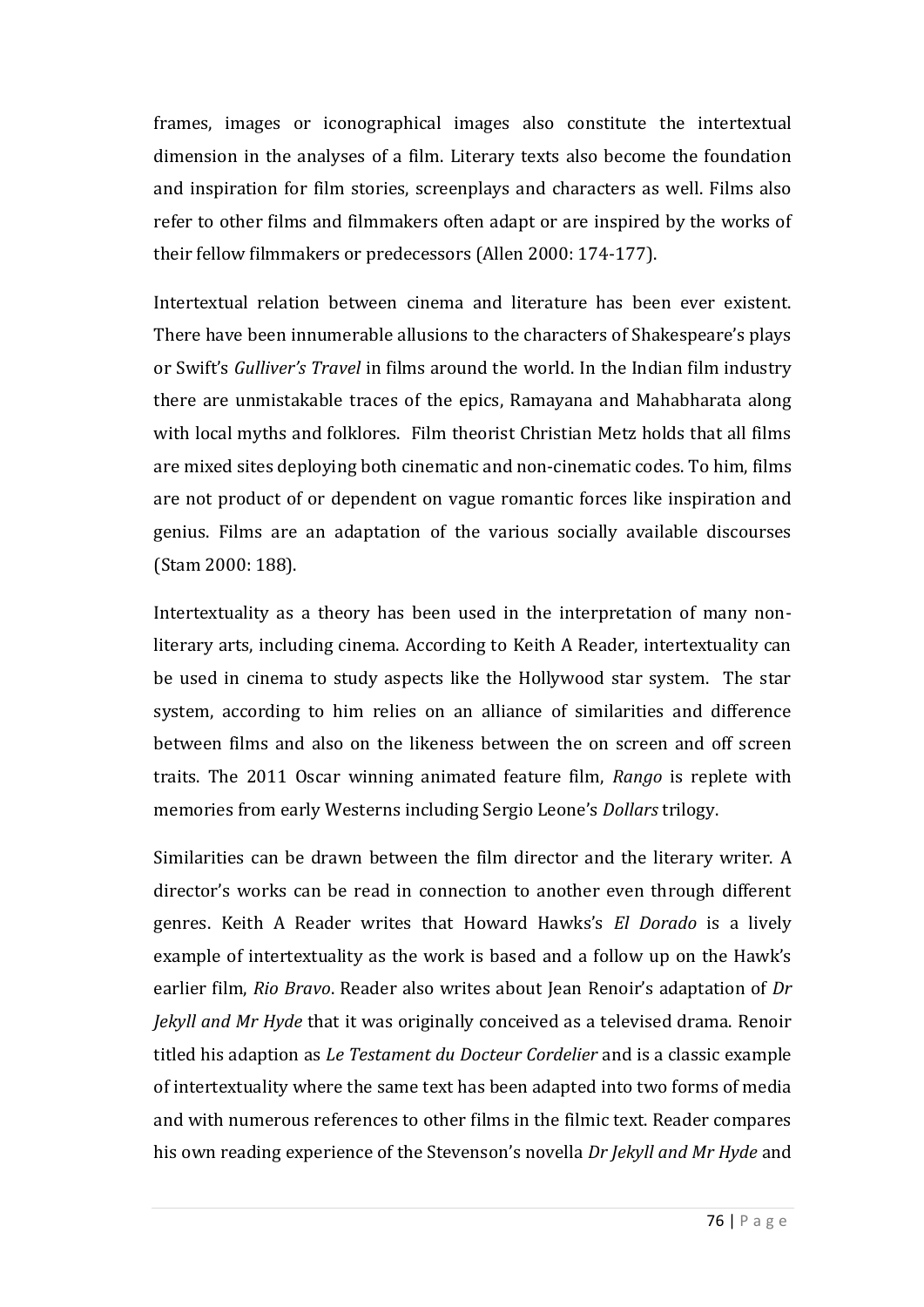frames, images or iconographical images also constitute the intertextual dimension in the analyses of a film. Literary texts also become the foundation and inspiration for film stories, screenplays and characters as well. Films also refer to other films and filmmakers often adapt or are inspired by the works of their fellow filmmakers or predecessors (Allen 2000: 174-177).

Intertextual relation between cinema and literature has been ever existent. There have been innumerable allusions to the characters of Shakespeare's plays or Swift's *Gulliver's Travel* in films around the world. In the Indian film industry there are unmistakable traces of the epics, Ramayana and Mahabharata along with local myths and folklores. Film theorist Christian Metz holds that all films are mixed sites deploying both cinematic and non-cinematic codes. To him, films are not product of or dependent on vague romantic forces like inspiration and genius. Films are an adaptation of the various socially available discourses (Stam 2000: 188).

Intertextuality as a theory has been used in the interpretation of many nonliterary arts, including cinema. According to Keith A Reader, intertextuality can be used in cinema to study aspects like the Hollywood star system. The star system, according to him relies on an alliance of similarities and difference between films and also on the likeness between the on screen and off screen traits. The 2011 Oscar winning animated feature film, *Rango* is replete with memories from early Westerns including Sergio Leone's *Dollars* trilogy.

Similarities can be drawn between the film director and the literary writer. A director's works can be read in connection to another even through different genres. Keith A Reader writes that Howard Hawks's *El Dorado* is a lively example of intertextuality as the work is based and a follow up on the Hawk's earlier film, *Rio Bravo*. Reader also writes about Jean Renoir's adaptation of *Dr Jekyll and Mr Hyde* that it was originally conceived as a televised drama. Renoir titled his adaption as *Le Testament du Docteur Cordelier* and is a classic example of intertextuality where the same text has been adapted into two forms of media and with numerous references to other films in the filmic text. Reader compares his own reading experience of the Stevenson's novella *Dr Jekyll and Mr Hyde* and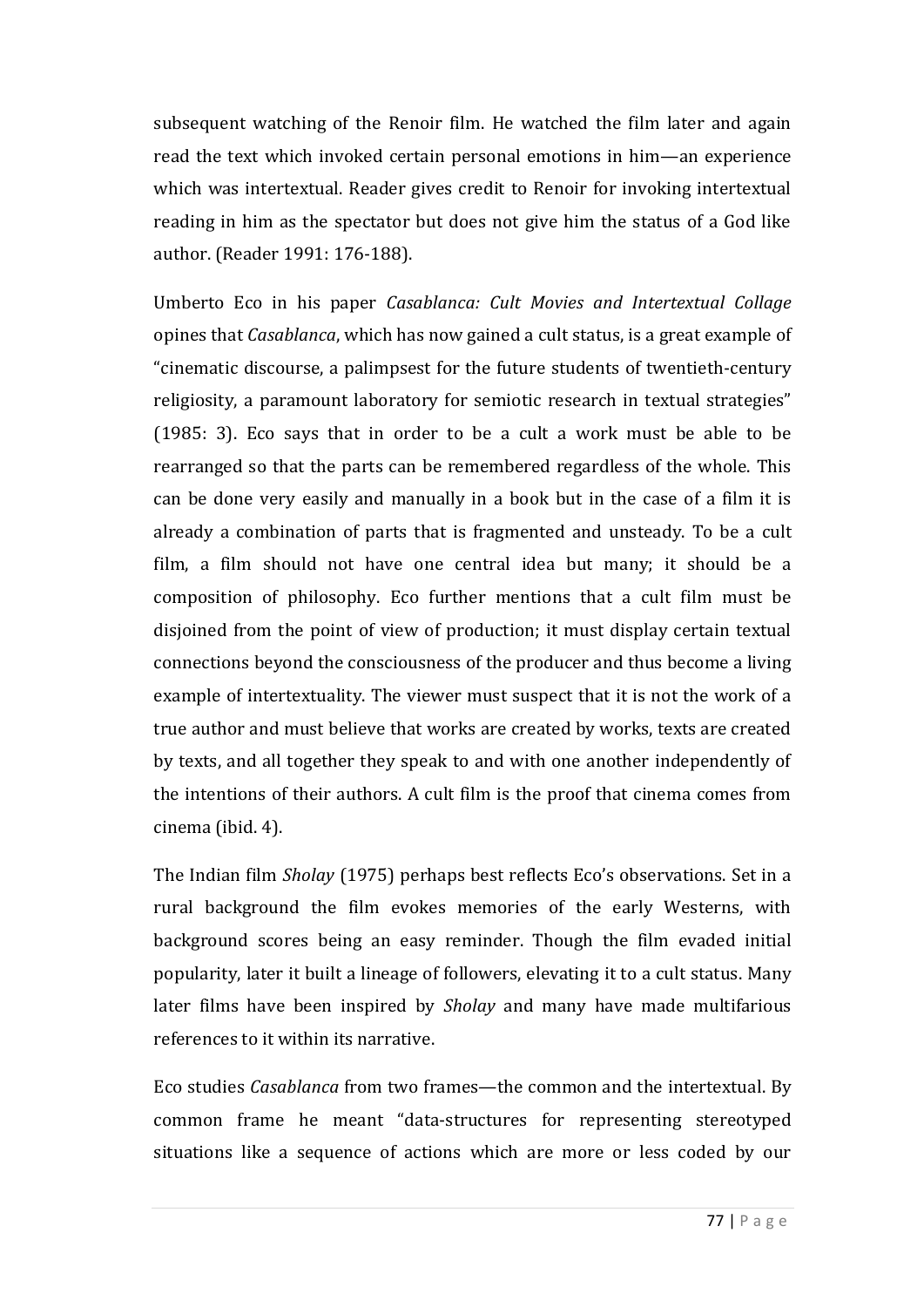subsequent watching of the Renoir film. He watched the film later and again read the text which invoked certain personal emotions in him—an experience which was intertextual. Reader gives credit to Renoir for invoking intertextual reading in him as the spectator but does not give him the status of a God like author. (Reader 1991: 176-188).

Umberto Eco in his paper *Casablanca: Cult Movies and Intertextual Collage* opines that *Casablanca*, which has now gained a cult status, is a great example of "cinematic discourse, a palimpsest for the future students of twentieth-century religiosity, a paramount laboratory for semiotic research in textual strategies" (1985: 3). Eco says that in order to be a cult a work must be able to be rearranged so that the parts can be remembered regardless of the whole. This can be done very easily and manually in a book but in the case of a film it is already a combination of parts that is fragmented and unsteady. To be a cult film, a film should not have one central idea but many; it should be a composition of philosophy. Eco further mentions that a cult film must be disjoined from the point of view of production; it must display certain textual connections beyond the consciousness of the producer and thus become a living example of intertextuality. The viewer must suspect that it is not the work of a true author and must believe that works are created by works, texts are created by texts, and all together they speak to and with one another independently of the intentions of their authors. A cult film is the proof that cinema comes from cinema (ibid. 4).

The Indian film *Sholay* (1975) perhaps best reflects Eco's observations. Set in a rural background the film evokes memories of the early Westerns, with background scores being an easy reminder. Though the film evaded initial popularity, later it built a lineage of followers, elevating it to a cult status. Many later films have been inspired by *Sholay* and many have made multifarious references to it within its narrative.

Eco studies *Casablanca* from two frames—the common and the intertextual. By common frame he meant "data-structures for representing stereotyped situations like a sequence of actions which are more or less coded by our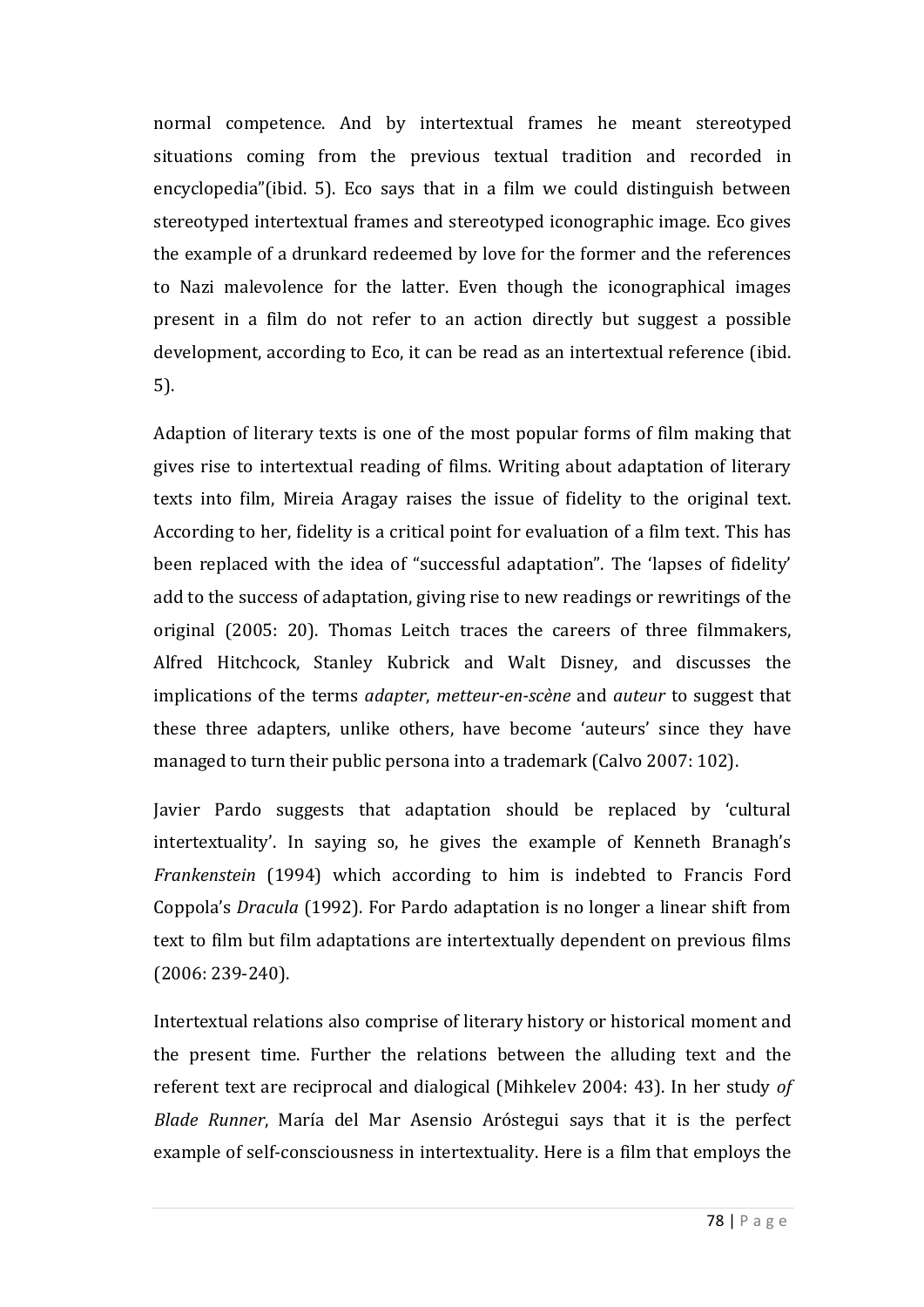normal competence. And by intertextual frames he meant stereotyped situations coming from the previous textual tradition and recorded in encyclopedia"(ibid. 5). Eco says that in a film we could distinguish between stereotyped intertextual frames and stereotyped iconographic image. Eco gives the example of a drunkard redeemed by love for the former and the references to Nazi malevolence for the latter. Even though the iconographical images present in a film do not refer to an action directly but suggest a possible development, according to Eco, it can be read as an intertextual reference (ibid. 5).

Adaption of literary texts is one of the most popular forms of film making that gives rise to intertextual reading of films. Writing about adaptation of literary texts into film, Mireia Aragay raises the issue of fidelity to the original text. According to her, fidelity is a critical point for evaluation of a film text. This has been replaced with the idea of "successful adaptation". The 'lapses of fidelity' add to the success of adaptation, giving rise to new readings or rewritings of the original (2005: 20). Thomas Leitch traces the careers of three filmmakers, Alfred Hitchcock, Stanley Kubrick and Walt Disney, and discusses the implications of the terms *adapter*, *metteur-en-scène* and *auteur* to suggest that these three adapters, unlike others, have become 'auteurs' since they have managed to turn their public persona into a trademark (Calvo 2007: 102).

Javier Pardo suggests that adaptation should be replaced by 'cultural intertextuality'. In saying so, he gives the example of Kenneth Branagh's *Frankenstein* (1994) which according to him is indebted to Francis Ford Coppola's *Dracula* (1992). For Pardo adaptation is no longer a linear shift from text to film but film adaptations are intertextually dependent on previous films (2006: 239-240).

Intertextual relations also comprise of literary history or historical moment and the present time. Further the relations between the alluding text and the referent text are reciprocal and dialogical (Mihkelev 2004: 43). In her study *of Blade Runner*, María del Mar Asensio Aróstegui says that it is the perfect example of self-consciousness in intertextuality. Here is a film that employs the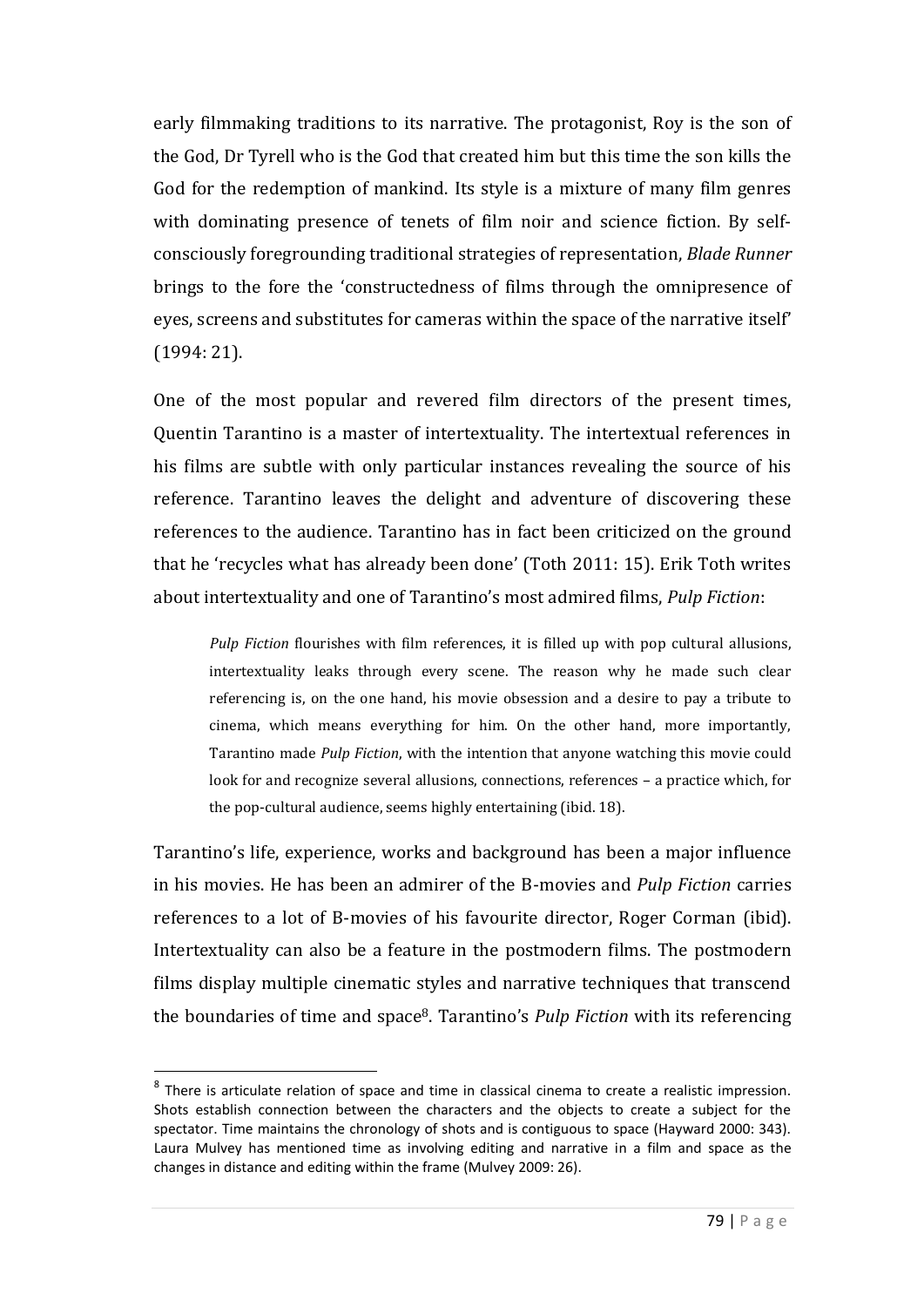early filmmaking traditions to its narrative. The protagonist, Roy is the son of the God, Dr Tyrell who is the God that created him but this time the son kills the God for the redemption of mankind. Its style is a mixture of many film genres with dominating presence of tenets of film noir and science fiction. By selfconsciously foregrounding traditional strategies of representation, *Blade Runner*  brings to the fore the 'constructedness of films through the omnipresence of eyes, screens and substitutes for cameras within the space of the narrative itself' (1994: 21).

One of the most popular and revered film directors of the present times, Quentin Tarantino is a master of intertextuality. The intertextual references in his films are subtle with only particular instances revealing the source of his reference. Tarantino leaves the delight and adventure of discovering these references to the audience. Tarantino has in fact been criticized on the ground that he 'recycles what has already been done' (Toth 2011: 15). Erik Toth writes about intertextuality and one of Tarantino's most admired films, *Pulp Fiction*:

*Pulp Fiction* flourishes with film references, it is filled up with pop cultural allusions, intertextuality leaks through every scene. The reason why he made such clear referencing is, on the one hand, his movie obsession and a desire to pay a tribute to cinema, which means everything for him. On the other hand, more importantly, Tarantino made *Pulp Fiction*, with the intention that anyone watching this movie could look for and recognize several allusions, connections, references – a practice which, for the pop-cultural audience, seems highly entertaining (ibid. 18).

Tarantino's life, experience, works and background has been a major influence in his movies. He has been an admirer of the B-movies and *Pulp Fiction* carries references to a lot of B-movies of his favourite director, Roger Corman (ibid). Intertextuality can also be a feature in the postmodern films. The postmodern films display multiple cinematic styles and narrative techniques that transcend the boundaries of time and space8. Tarantino's *Pulp Fiction* with its referencing

 $\overline{a}$ 

 $<sup>8</sup>$  There is articulate relation of space and time in classical cinema to create a realistic impression.</sup> Shots establish connection between the characters and the objects to create a subject for the spectator. Time maintains the chronology of shots and is contiguous to space (Hayward 2000: 343). Laura Mulvey has mentioned time as involving editing and narrative in a film and space as the changes in distance and editing within the frame (Mulvey 2009: 26).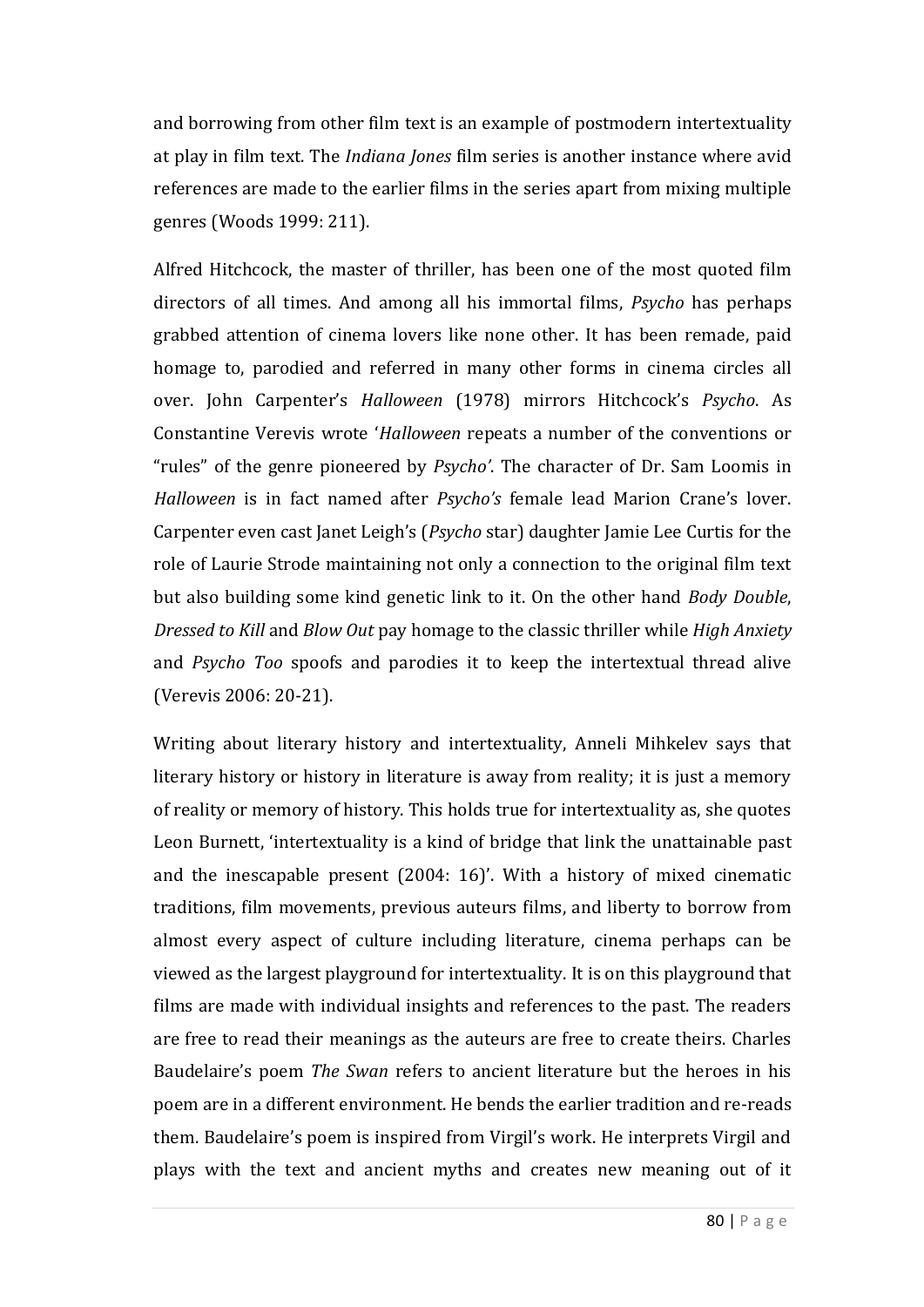and borrowing from other film text is an example of postmodern intertextuality at play in film text. The *Indiana Jones* film series is another instance where avid references are made to the earlier films in the series apart from mixing multiple genres (Woods 1999: 211).

Alfred Hitchcock, the master of thriller, has been one of the most quoted film directors of all times. And among all his immortal films, *Psycho* has perhaps grabbed attention of cinema lovers like none other. It has been remade, paid homage to, parodied and referred in many other forms in cinema circles all over. John Carpenter's *Halloween* (1978) mirrors Hitchcock's *Psycho*. As Constantine Verevis wrote '*Halloween* repeats a number of the conventions or "rules" of the genre pioneered by *Psycho'*. The character of Dr. Sam Loomis in *Halloween* is in fact named after *Psycho's* female lead Marion Crane's lover. Carpenter even cast Janet Leigh's (*Psycho* star) daughter Jamie Lee Curtis for the role of Laurie Strode maintaining not only a connection to the original film text but also building some kind genetic link to it. On the other hand *Body Double*, *Dressed to Kill* and *Blow Out* pay homage to the classic thriller while *High Anxiety* and *Psycho Too* spoofs and parodies it to keep the intertextual thread alive (Verevis 2006: 20-21).

Writing about literary history and intertextuality, Anneli Mihkelev says that literary history or history in literature is away from reality; it is just a memory of reality or memory of history. This holds true for intertextuality as, she quotes Leon Burnett, 'intertextuality is a kind of bridge that link the unattainable past and the inescapable present (2004: 16)'. With a history of mixed cinematic traditions, film movements, previous auteurs films, and liberty to borrow from almost every aspect of culture including literature, cinema perhaps can be viewed as the largest playground for intertextuality. It is on this playground that films are made with individual insights and references to the past. The readers are free to read their meanings as the auteurs are free to create theirs. Charles Baudelaire's poem *The Swan* refers to ancient literature but the heroes in his poem are in a different environment. He bends the earlier tradition and re-reads them. Baudelaire's poem is inspired from Virgil's work. He interprets Virgil and plays with the text and ancient myths and creates new meaning out of it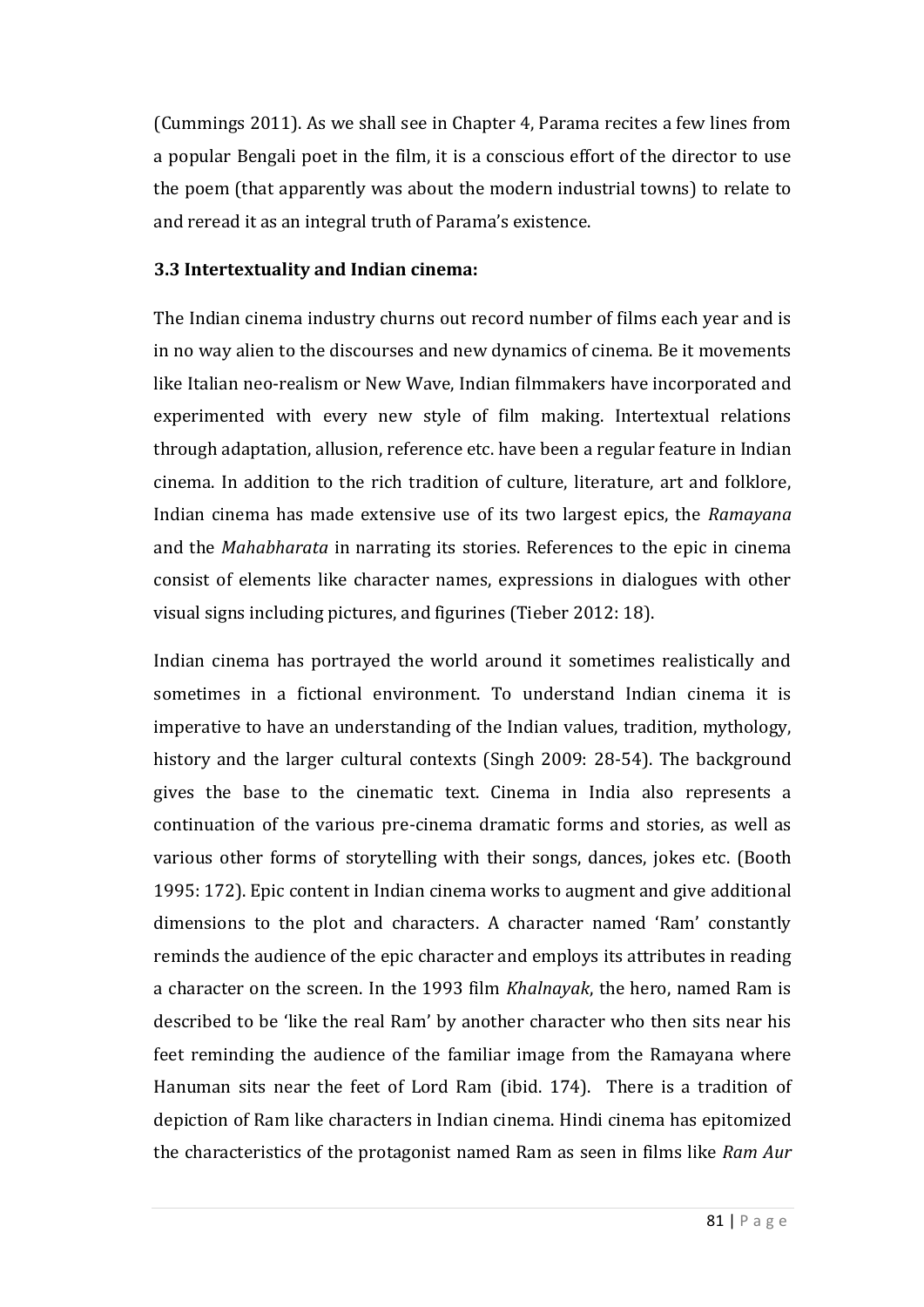(Cummings 2011). As we shall see in Chapter 4, Parama recites a few lines from a popular Bengali poet in the film, it is a conscious effort of the director to use the poem (that apparently was about the modern industrial towns) to relate to and reread it as an integral truth of Parama's existence.

#### **3.3 Intertextuality and Indian cinema:**

The Indian cinema industry churns out record number of films each year and is in no way alien to the discourses and new dynamics of cinema. Be it movements like Italian neo-realism or New Wave, Indian filmmakers have incorporated and experimented with every new style of film making. Intertextual relations through adaptation, allusion, reference etc. have been a regular feature in Indian cinema. In addition to the rich tradition of culture, literature, art and folklore, Indian cinema has made extensive use of its two largest epics, the *Ramayana* and the *Mahabharata* in narrating its stories. References to the epic in cinema consist of elements like character names, expressions in dialogues with other visual signs including pictures, and figurines (Tieber 2012: 18).

Indian cinema has portrayed the world around it sometimes realistically and sometimes in a fictional environment. To understand Indian cinema it is imperative to have an understanding of the Indian values, tradition, mythology, history and the larger cultural contexts (Singh 2009: 28-54). The background gives the base to the cinematic text. Cinema in India also represents a continuation of the various pre-cinema dramatic forms and stories, as well as various other forms of storytelling with their songs, dances, jokes etc. (Booth 1995: 172). Epic content in Indian cinema works to augment and give additional dimensions to the plot and characters. A character named 'Ram' constantly reminds the audience of the epic character and employs its attributes in reading a character on the screen. In the 1993 film *Khalnayak*, the hero, named Ram is described to be 'like the real Ram' by another character who then sits near his feet reminding the audience of the familiar image from the Ramayana where Hanuman sits near the feet of Lord Ram (ibid. 174). There is a tradition of depiction of Ram like characters in Indian cinema. Hindi cinema has epitomized the characteristics of the protagonist named Ram as seen in films like *Ram Aur*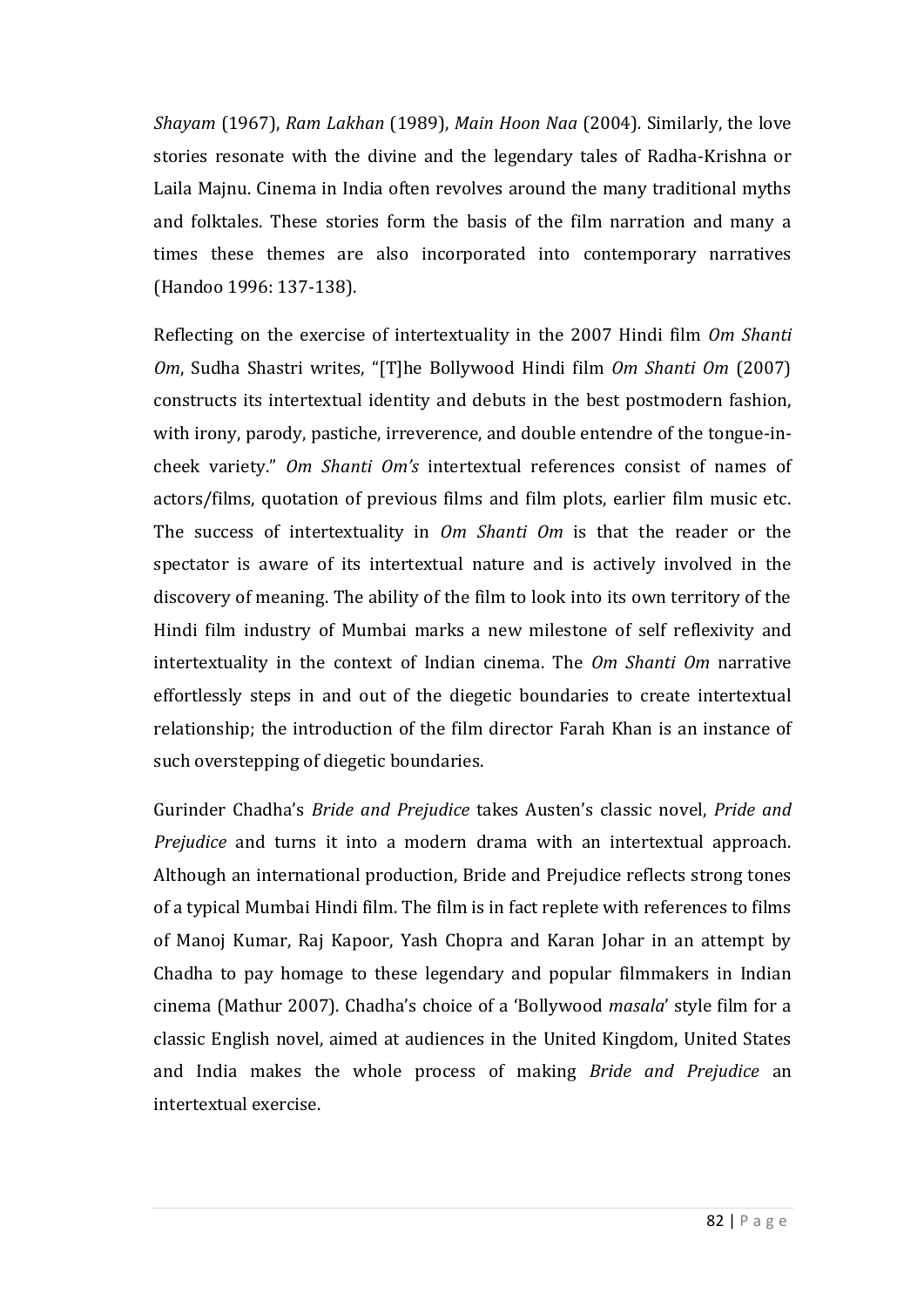*Shayam* (1967), *Ram Lakhan* (1989), *Main Hoon Naa* (2004)*.* Similarly, the love stories resonate with the divine and the legendary tales of Radha-Krishna or Laila Majnu. Cinema in India often revolves around the many traditional myths and folktales. These stories form the basis of the film narration and many a times these themes are also incorporated into contemporary narratives (Handoo 1996: 137-138).

Reflecting on the exercise of intertextuality in the 2007 Hindi film *Om Shanti Om*, Sudha Shastri writes, "[T]he Bollywood Hindi film *Om Shanti Om* (2007) constructs its intertextual identity and debuts in the best postmodern fashion, with irony, parody, pastiche, irreverence, and double entendre of the tongue-incheek variety." *Om Shanti Om's* intertextual references consist of names of actors/films, quotation of previous films and film plots, earlier film music etc. The success of intertextuality in *Om Shanti Om* is that the reader or the spectator is aware of its intertextual nature and is actively involved in the discovery of meaning. The ability of the film to look into its own territory of the Hindi film industry of Mumbai marks a new milestone of self reflexivity and intertextuality in the context of Indian cinema. The *Om Shanti Om* narrative effortlessly steps in and out of the diegetic boundaries to create intertextual relationship; the introduction of the film director Farah Khan is an instance of such overstepping of diegetic boundaries.

Gurinder Chadha's *Bride and Prejudice* takes Austen's classic novel, *Pride and Prejudice* and turns it into a modern drama with an intertextual approach. Although an international production, Bride and Prejudice reflects strong tones of a typical Mumbai Hindi film. The film is in fact replete with references to films of Manoj Kumar, Raj Kapoor, Yash Chopra and Karan Johar in an attempt by Chadha to pay homage to these legendary and popular filmmakers in Indian cinema (Mathur 2007). Chadha's choice of a 'Bollywood *masala*' style film for a classic English novel, aimed at audiences in the United Kingdom, United States and India makes the whole process of making *Bride and Prejudice* an intertextual exercise.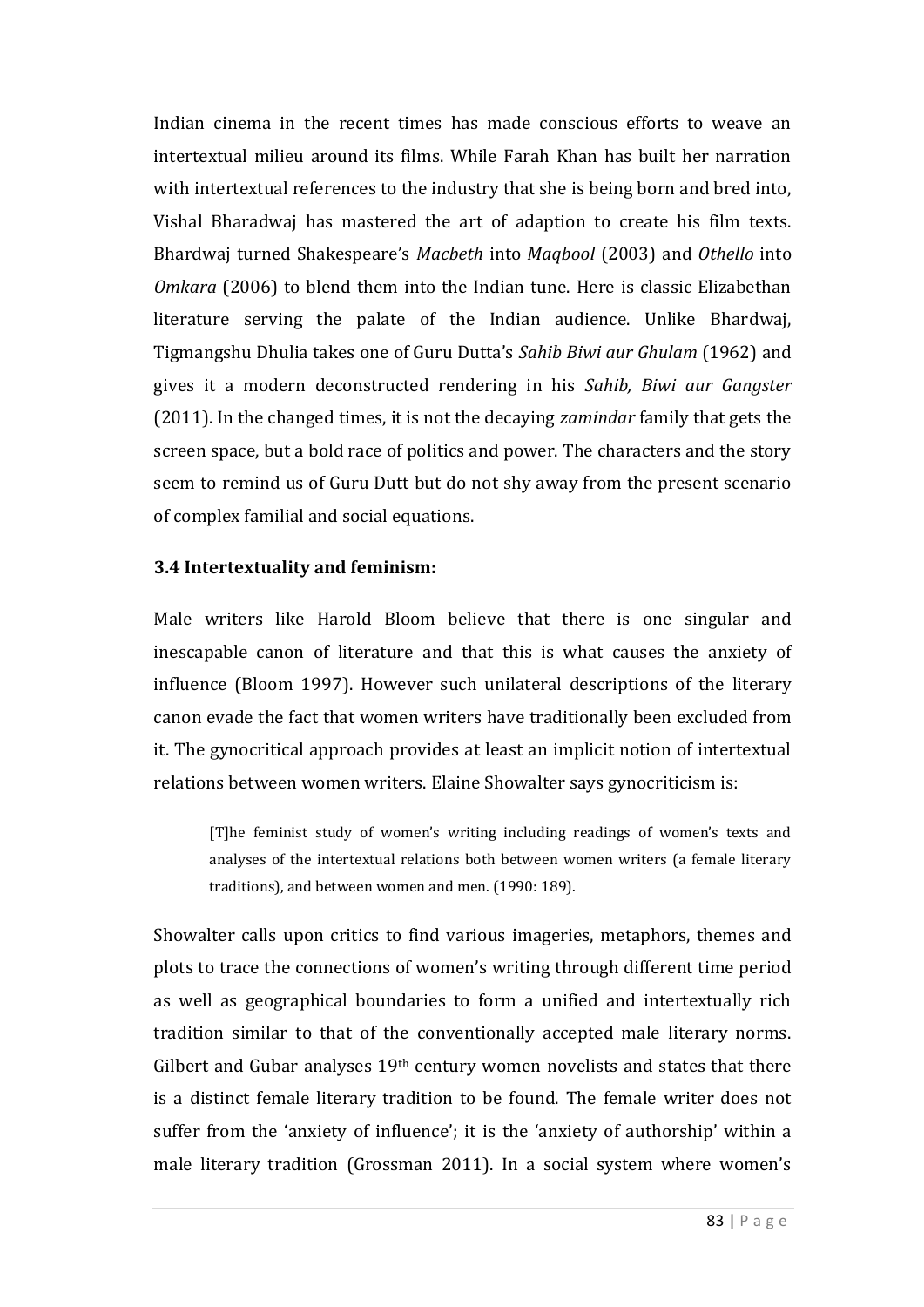Indian cinema in the recent times has made conscious efforts to weave an intertextual milieu around its films. While Farah Khan has built her narration with intertextual references to the industry that she is being born and bred into, Vishal Bharadwaj has mastered the art of adaption to create his film texts. Bhardwaj turned Shakespeare's *Macbeth* into *Maqbool* (2003) and *Othello* into *Omkara* (2006) to blend them into the Indian tune. Here is classic Elizabethan literature serving the palate of the Indian audience. Unlike Bhardwaj, Tigmangshu Dhulia takes one of Guru Dutta's *Sahib Biwi aur Ghulam* (1962) and gives it a modern deconstructed rendering in his *Sahib, Biwi aur Gangster* (2011). In the changed times, it is not the decaying *zamindar* family that gets the screen space, but a bold race of politics and power. The characters and the story seem to remind us of Guru Dutt but do not shy away from the present scenario of complex familial and social equations.

#### **3.4 Intertextuality and feminism:**

Male writers like Harold Bloom believe that there is one singular and inescapable canon of literature and that this is what causes the anxiety of influence (Bloom 1997). However such unilateral descriptions of the literary canon evade the fact that women writers have traditionally been excluded from it. The gynocritical approach provides at least an implicit notion of intertextual relations between women writers. Elaine Showalter says gynocriticism is:

[T]he feminist study of women's writing including readings of women's texts and analyses of the intertextual relations both between women writers (a female literary traditions), and between women and men. (1990: 189).

Showalter calls upon critics to find various imageries, metaphors, themes and plots to trace the connections of women's writing through different time period as well as geographical boundaries to form a unified and intertextually rich tradition similar to that of the conventionally accepted male literary norms. Gilbert and Gubar analyses  $19<sup>th</sup>$  century women novelists and states that there is a distinct female literary tradition to be found. The female writer does not suffer from the 'anxiety of influence'; it is the 'anxiety of authorship' within a male literary tradition (Grossman 2011). In a social system where women's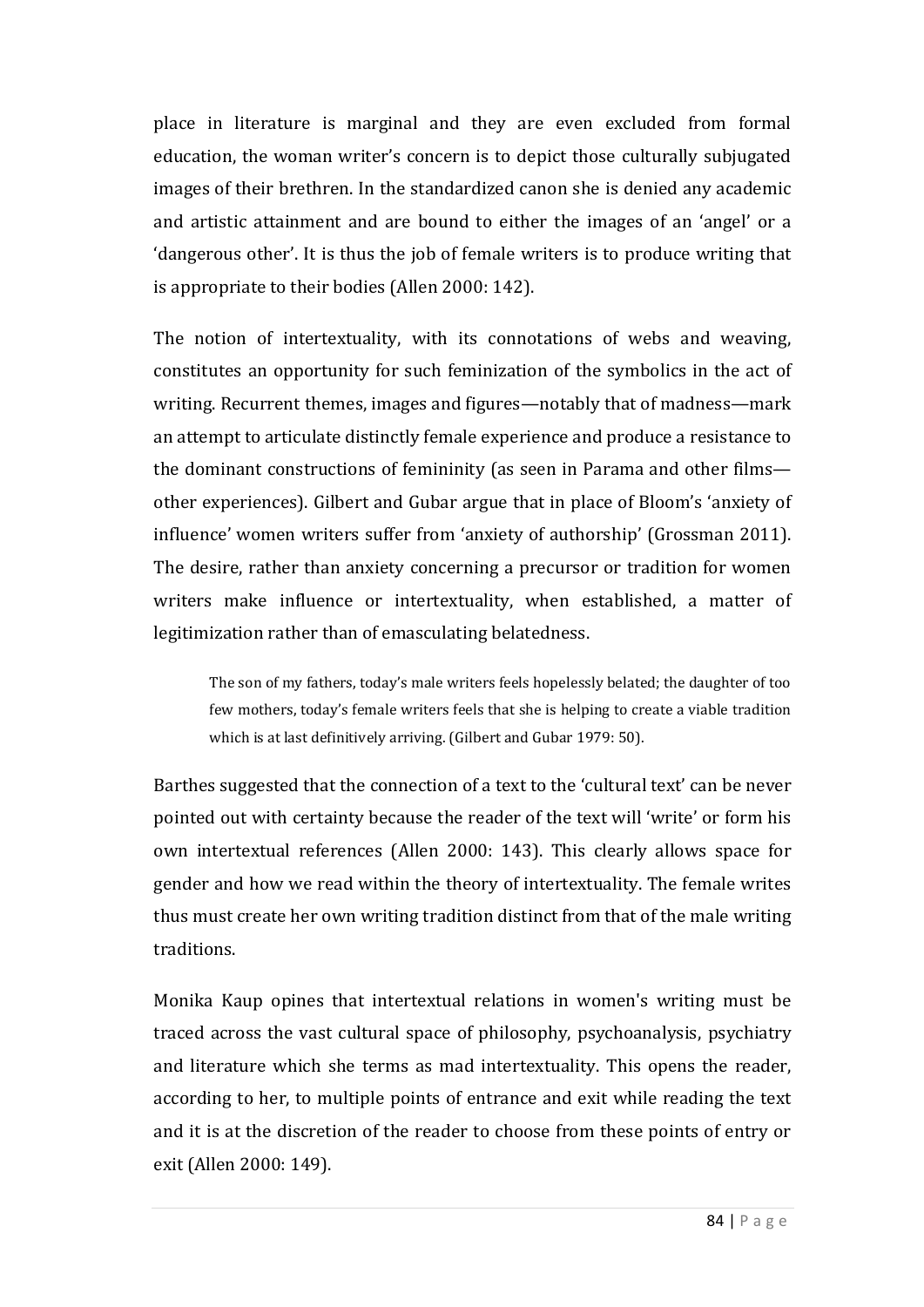place in literature is marginal and they are even excluded from formal education, the woman writer's concern is to depict those culturally subjugated images of their brethren. In the standardized canon she is denied any academic and artistic attainment and are bound to either the images of an 'angel' or a 'dangerous other'. It is thus the job of female writers is to produce writing that is appropriate to their bodies (Allen 2000: 142).

The notion of intertextuality, with its connotations of webs and weaving, constitutes an opportunity for such feminization of the symbolics in the act of writing. Recurrent themes, images and figures—notably that of madness—mark an attempt to articulate distinctly female experience and produce a resistance to the dominant constructions of femininity (as seen in Parama and other films other experiences). Gilbert and Gubar argue that in place of Bloom's 'anxiety of influence' women writers suffer from 'anxiety of authorship' (Grossman 2011). The desire, rather than anxiety concerning a precursor or tradition for women writers make influence or intertextuality, when established, a matter of legitimization rather than of emasculating belatedness.

The son of my fathers, today's male writers feels hopelessly belated; the daughter of too few mothers, today's female writers feels that she is helping to create a viable tradition which is at last definitively arriving. (Gilbert and Gubar 1979: 50).

Barthes suggested that the connection of a text to the 'cultural text' can be never pointed out with certainty because the reader of the text will 'write' or form his own intertextual references (Allen 2000: 143). This clearly allows space for gender and how we read within the theory of intertextuality. The female writes thus must create her own writing tradition distinct from that of the male writing traditions.

Monika Kaup opines that intertextual relations in women's writing must be traced across the vast cultural space of philosophy, psychoanalysis, psychiatry and literature which she terms as mad intertextuality. This opens the reader, according to her, to multiple points of entrance and exit while reading the text and it is at the discretion of the reader to choose from these points of entry or exit (Allen 2000: 149).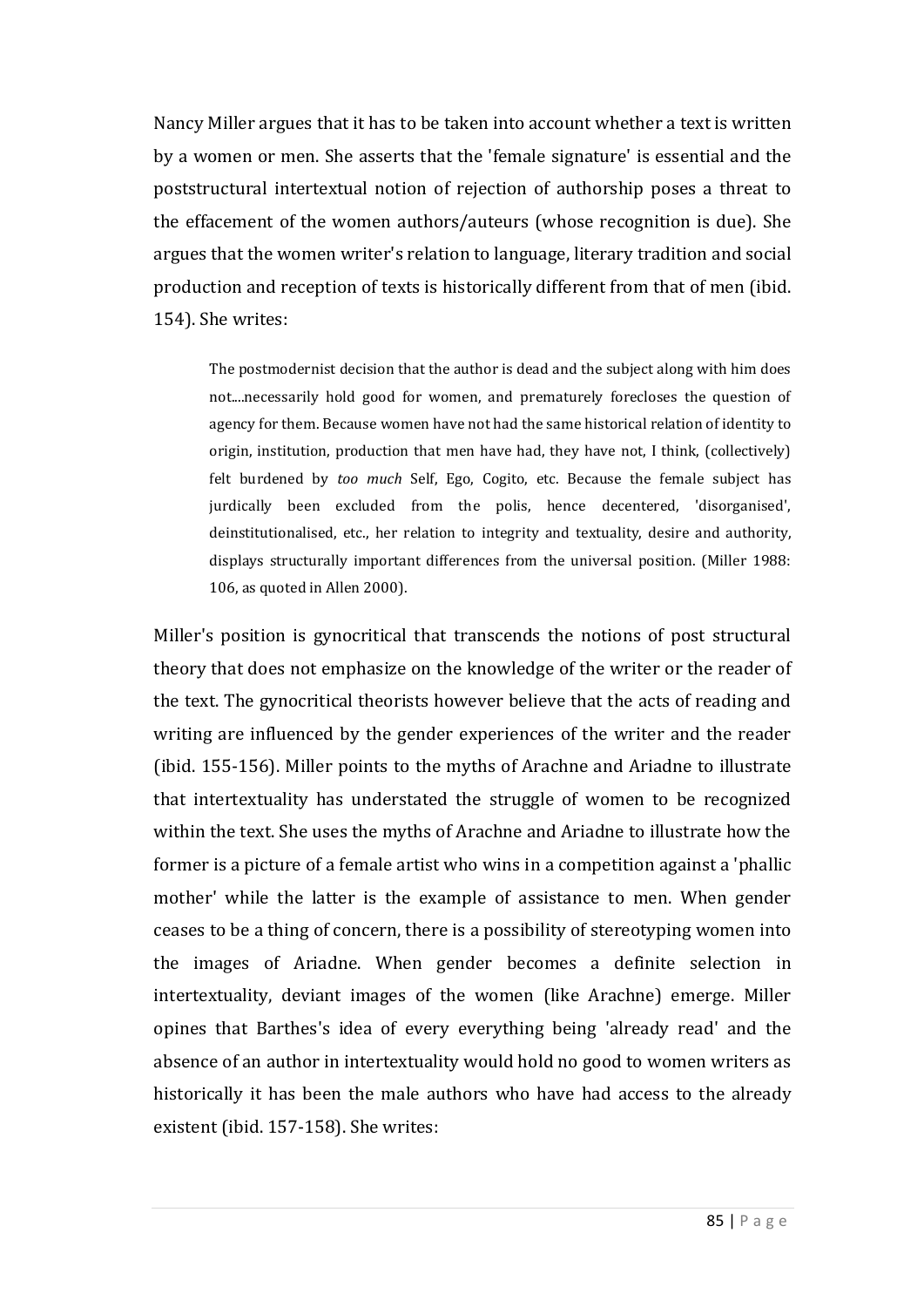Nancy Miller argues that it has to be taken into account whether a text is written by a women or men. She asserts that the 'female signature' is essential and the poststructural intertextual notion of rejection of authorship poses a threat to the effacement of the women authors/auteurs (whose recognition is due). She argues that the women writer's relation to language, literary tradition and social production and reception of texts is historically different from that of men (ibid. 154). She writes:

The postmodernist decision that the author is dead and the subject along with him does not....necessarily hold good for women, and prematurely forecloses the question of agency for them. Because women have not had the same historical relation of identity to origin, institution, production that men have had, they have not, I think, (collectively) felt burdened by *too much* Self, Ego, Cogito, etc. Because the female subject has jurdically been excluded from the polis, hence decentered, 'disorganised', deinstitutionalised, etc., her relation to integrity and textuality, desire and authority, displays structurally important differences from the universal position. (Miller 1988: 106, as quoted in Allen 2000).

Miller's position is gynocritical that transcends the notions of post structural theory that does not emphasize on the knowledge of the writer or the reader of the text. The gynocritical theorists however believe that the acts of reading and writing are influenced by the gender experiences of the writer and the reader (ibid. 155-156). Miller points to the myths of Arachne and Ariadne to illustrate that intertextuality has understated the struggle of women to be recognized within the text. She uses the myths of Arachne and Ariadne to illustrate how the former is a picture of a female artist who wins in a competition against a 'phallic mother' while the latter is the example of assistance to men. When gender ceases to be a thing of concern, there is a possibility of stereotyping women into the images of Ariadne. When gender becomes a definite selection in intertextuality, deviant images of the women (like Arachne) emerge. Miller opines that Barthes's idea of every everything being 'already read' and the absence of an author in intertextuality would hold no good to women writers as historically it has been the male authors who have had access to the already existent (ibid. 157-158). She writes: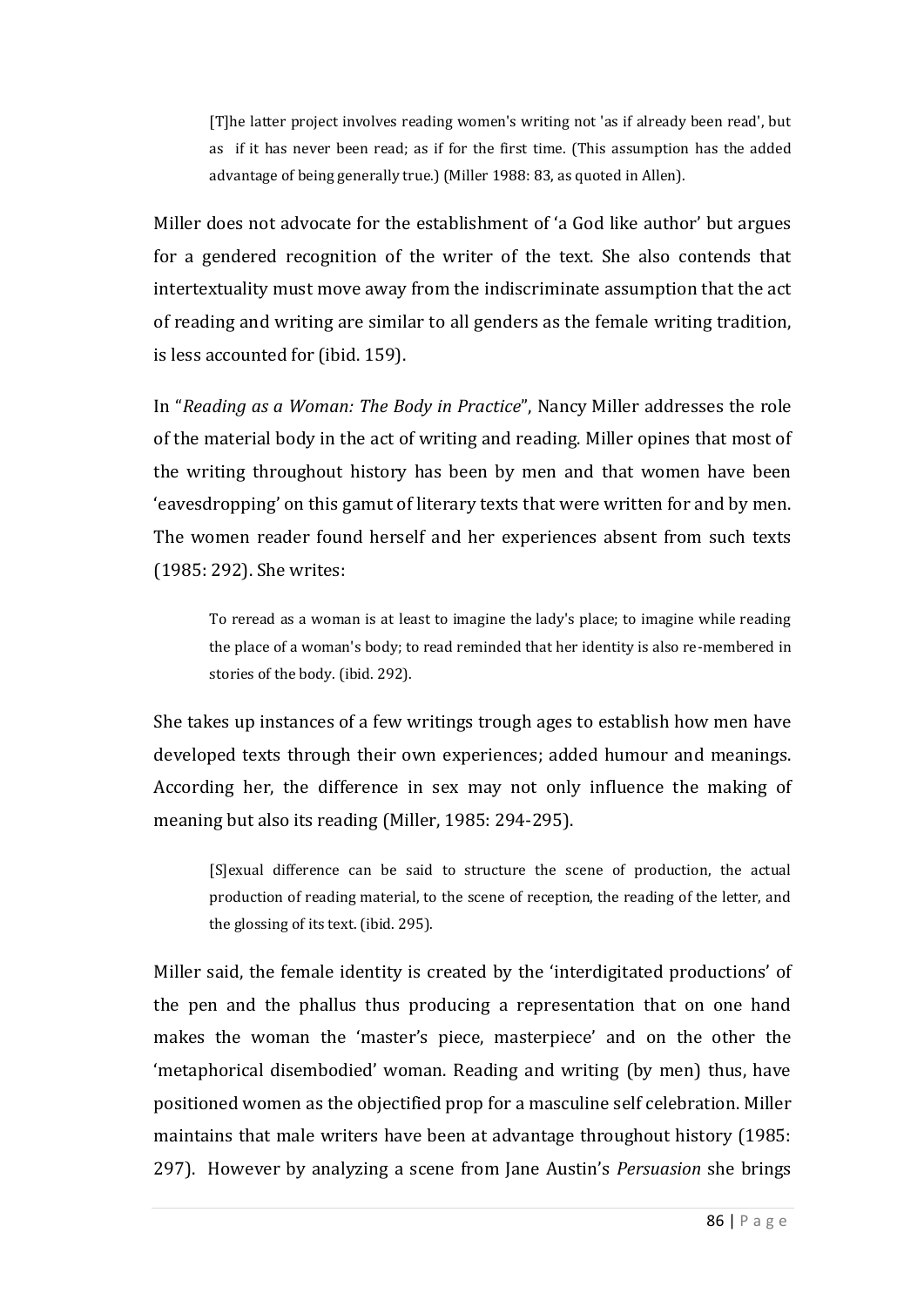[T]he latter project involves reading women's writing not 'as if already been read', but as if it has never been read; as if for the first time. (This assumption has the added advantage of being generally true.) (Miller 1988: 83, as quoted in Allen).

Miller does not advocate for the establishment of 'a God like author' but argues for a gendered recognition of the writer of the text. She also contends that intertextuality must move away from the indiscriminate assumption that the act of reading and writing are similar to all genders as the female writing tradition, is less accounted for (ibid. 159).

In "*Reading as a Woman: The Body in Practice*", Nancy Miller addresses the role of the material body in the act of writing and reading. Miller opines that most of the writing throughout history has been by men and that women have been 'eavesdropping' on this gamut of literary texts that were written for and by men. The women reader found herself and her experiences absent from such texts (1985: 292). She writes:

To reread as a woman is at least to imagine the lady's place; to imagine while reading the place of a woman's body; to read reminded that her identity is also re-membered in stories of the body. (ibid. 292).

She takes up instances of a few writings trough ages to establish how men have developed texts through their own experiences; added humour and meanings. According her, the difference in sex may not only influence the making of meaning but also its reading (Miller, 1985: 294-295).

[S]exual difference can be said to structure the scene of production, the actual production of reading material, to the scene of reception, the reading of the letter, and the glossing of its text. (ibid. 295).

Miller said, the female identity is created by the 'interdigitated productions' of the pen and the phallus thus producing a representation that on one hand makes the woman the 'master's piece, masterpiece' and on the other the 'metaphorical disembodied' woman. Reading and writing (by men) thus, have positioned women as the objectified prop for a masculine self celebration. Miller maintains that male writers have been at advantage throughout history (1985: 297). However by analyzing a scene from Jane Austin's *Persuasion* she brings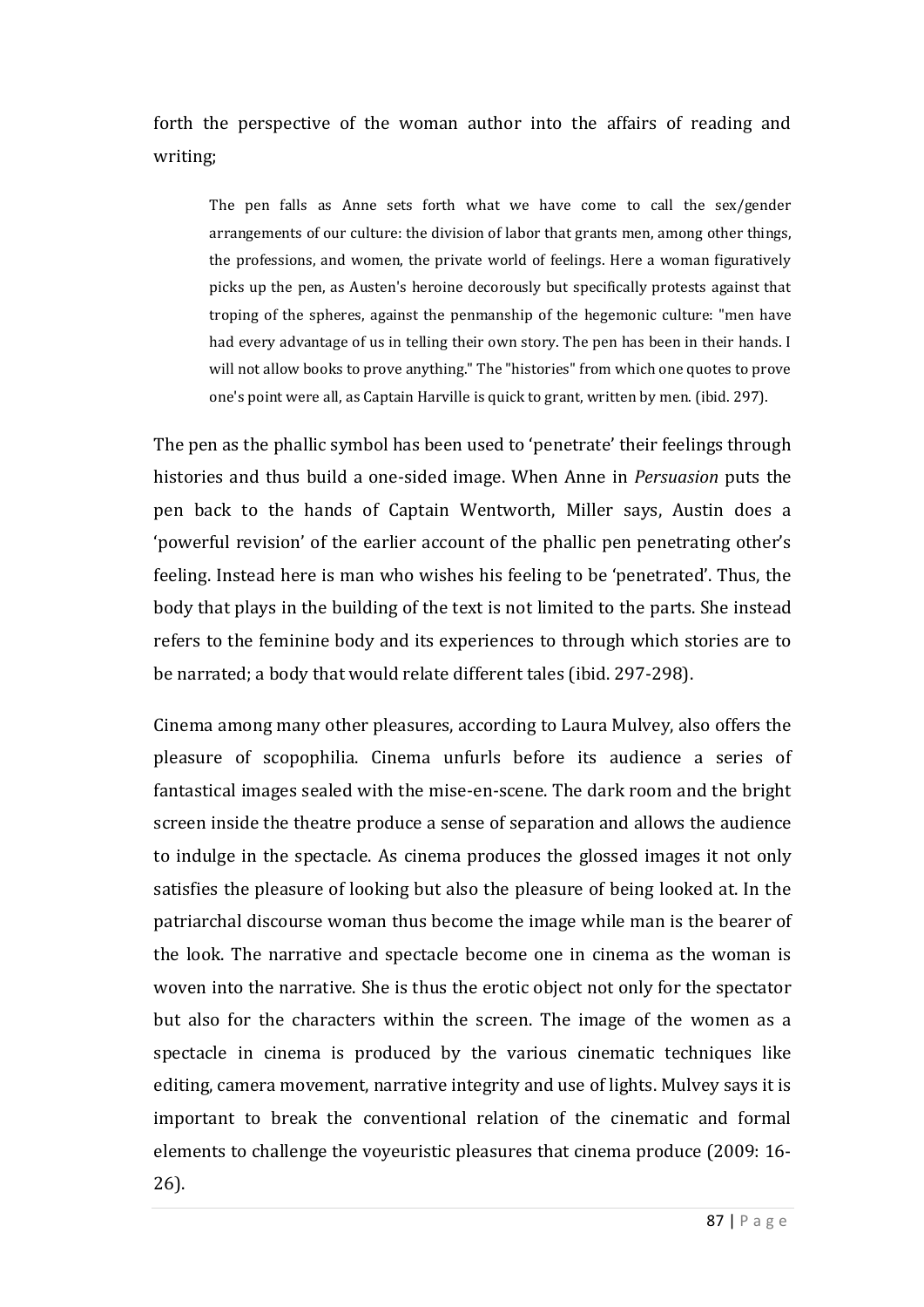forth the perspective of the woman author into the affairs of reading and writing;

The pen falls as Anne sets forth what we have come to call the sex/gender arrangements of our culture: the division of labor that grants men, among other things, the professions, and women, the private world of feelings. Here a woman figuratively picks up the pen, as Austen's heroine decorously but specifically protests against that troping of the spheres, against the penmanship of the hegemonic culture: "men have had every advantage of us in telling their own story. The pen has been in their hands. I will not allow books to prove anything." The "histories" from which one quotes to prove one's point were all, as Captain Harville is quick to grant, written by men. (ibid. 297).

The pen as the phallic symbol has been used to 'penetrate' their feelings through histories and thus build a one-sided image. When Anne in *Persuasion* puts the pen back to the hands of Captain Wentworth, Miller says, Austin does a 'powerful revision' of the earlier account of the phallic pen penetrating other's feeling. Instead here is man who wishes his feeling to be 'penetrated'. Thus, the body that plays in the building of the text is not limited to the parts. She instead refers to the feminine body and its experiences to through which stories are to be narrated; a body that would relate different tales (ibid. 297-298).

Cinema among many other pleasures, according to Laura Mulvey, also offers the pleasure of scopophilia. Cinema unfurls before its audience a series of fantastical images sealed with the mise-en-scene. The dark room and the bright screen inside the theatre produce a sense of separation and allows the audience to indulge in the spectacle. As cinema produces the glossed images it not only satisfies the pleasure of looking but also the pleasure of being looked at. In the patriarchal discourse woman thus become the image while man is the bearer of the look. The narrative and spectacle become one in cinema as the woman is woven into the narrative. She is thus the erotic object not only for the spectator but also for the characters within the screen. The image of the women as a spectacle in cinema is produced by the various cinematic techniques like editing, camera movement, narrative integrity and use of lights. Mulvey says it is important to break the conventional relation of the cinematic and formal elements to challenge the voyeuristic pleasures that cinema produce (2009: 16- 26).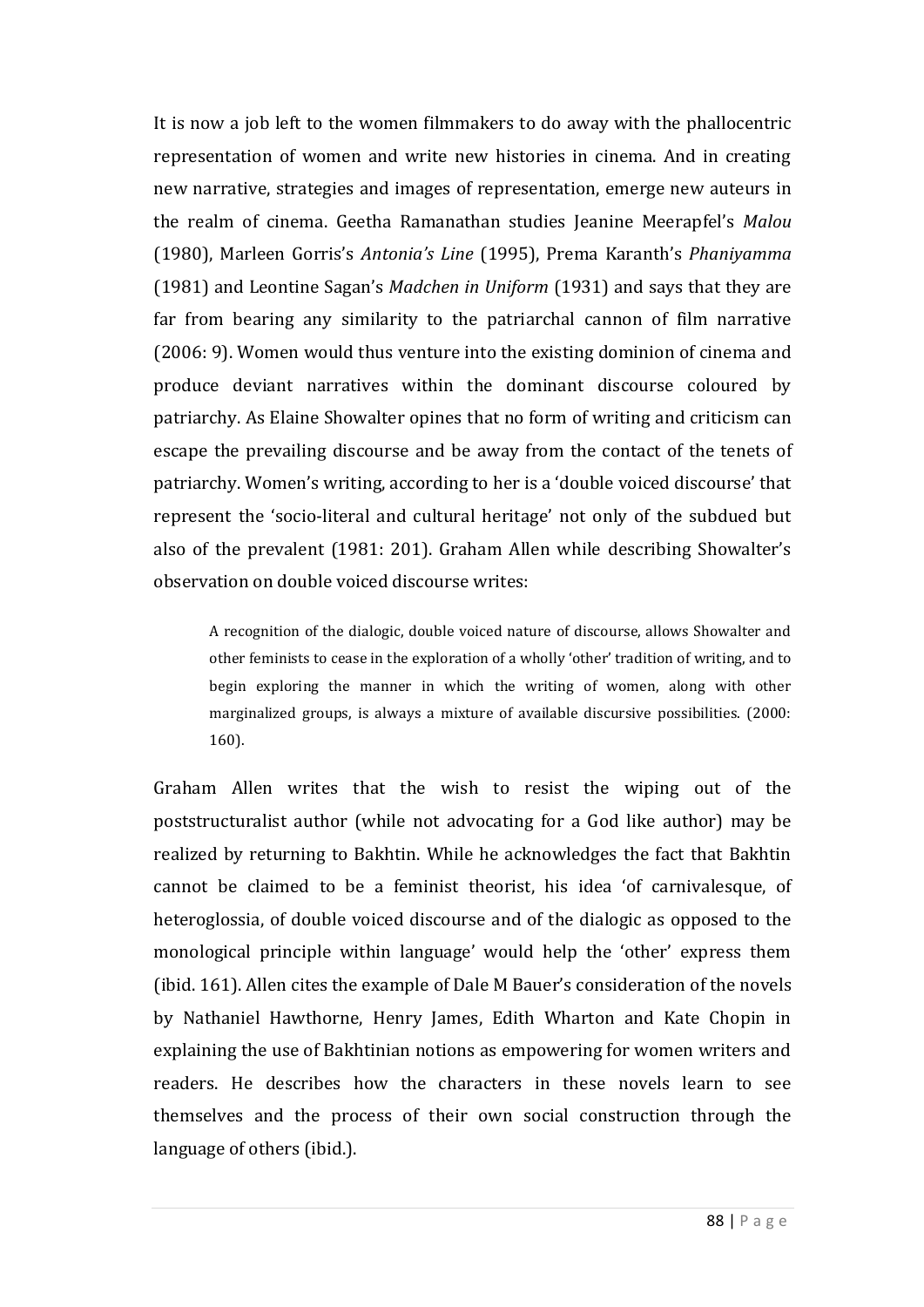It is now a job left to the women filmmakers to do away with the phallocentric representation of women and write new histories in cinema. And in creating new narrative, strategies and images of representation, emerge new auteurs in the realm of cinema. Geetha Ramanathan studies Jeanine Meerapfel's *Malou* (1980), Marleen Gorris's *Antonia's Line* (1995), Prema Karanth's *Phaniyamma* (1981) and Leontine Sagan's *Madchen in Uniform* (1931) and says that they are far from bearing any similarity to the patriarchal cannon of film narrative (2006: 9). Women would thus venture into the existing dominion of cinema and produce deviant narratives within the dominant discourse coloured by patriarchy. As Elaine Showalter opines that no form of writing and criticism can escape the prevailing discourse and be away from the contact of the tenets of patriarchy. Women's writing, according to her is a 'double voiced discourse' that represent the 'socio-literal and cultural heritage' not only of the subdued but also of the prevalent (1981: 201). Graham Allen while describing Showalter's observation on double voiced discourse writes:

A recognition of the dialogic, double voiced nature of discourse, allows Showalter and other feminists to cease in the exploration of a wholly 'other' tradition of writing, and to begin exploring the manner in which the writing of women, along with other marginalized groups, is always a mixture of available discursive possibilities. (2000: 160).

Graham Allen writes that the wish to resist the wiping out of the poststructuralist author (while not advocating for a God like author) may be realized by returning to Bakhtin. While he acknowledges the fact that Bakhtin cannot be claimed to be a feminist theorist, his idea 'of carnivalesque, of heteroglossia, of double voiced discourse and of the dialogic as opposed to the monological principle within language' would help the 'other' express them (ibid. 161). Allen cites the example of Dale M Bauer's consideration of the novels by Nathaniel Hawthorne, Henry James, Edith Wharton and Kate Chopin in explaining the use of Bakhtinian notions as empowering for women writers and readers. He describes how the characters in these novels learn to see themselves and the process of their own social construction through the language of others (ibid.).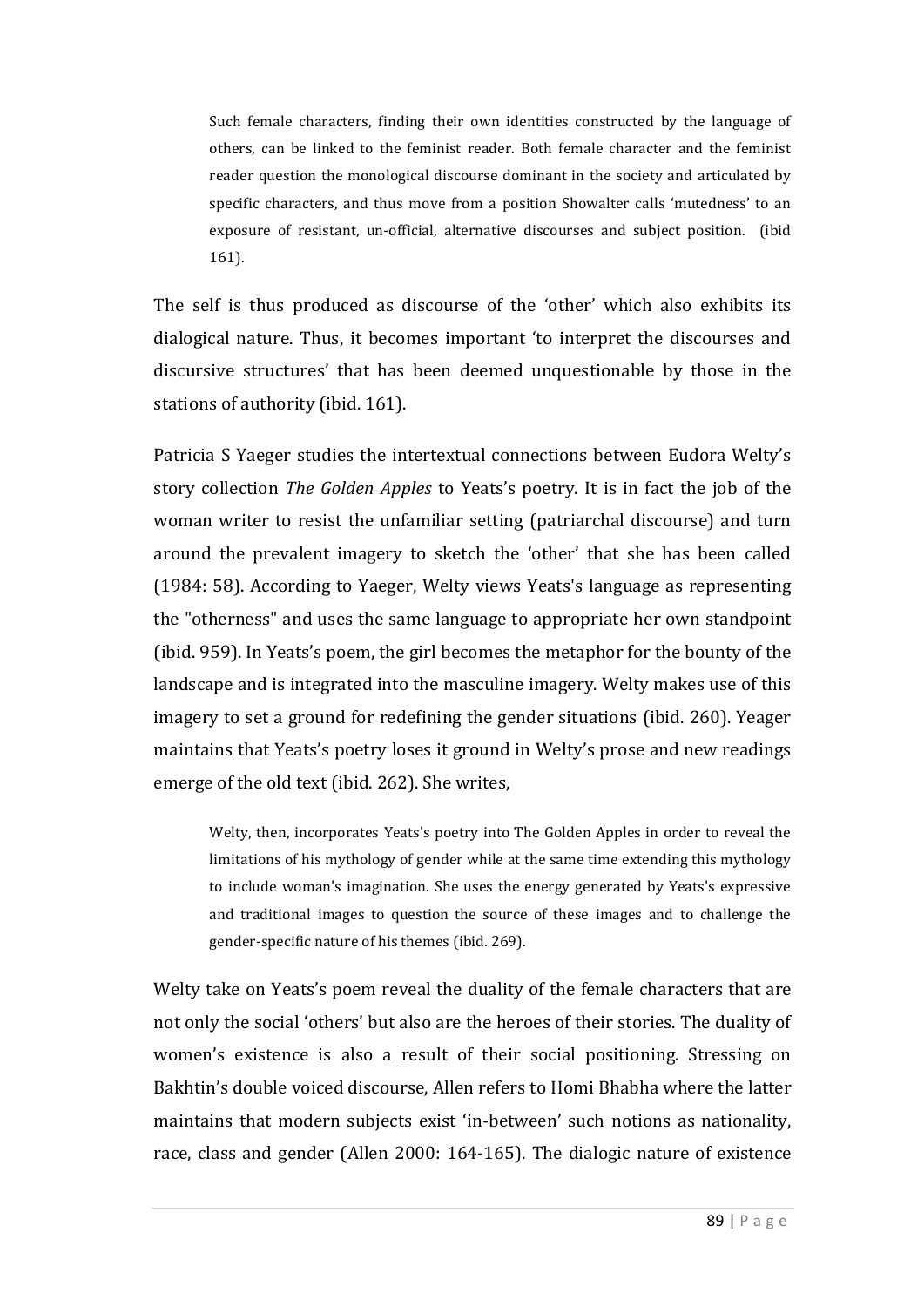Such female characters, finding their own identities constructed by the language of others, can be linked to the feminist reader. Both female character and the feminist reader question the monological discourse dominant in the society and articulated by specific characters, and thus move from a position Showalter calls 'mutedness' to an exposure of resistant, un-official, alternative discourses and subject position. (ibid 161).

The self is thus produced as discourse of the 'other' which also exhibits its dialogical nature. Thus, it becomes important 'to interpret the discourses and discursive structures' that has been deemed unquestionable by those in the stations of authority (ibid. 161).

Patricia S Yaeger studies the intertextual connections between Eudora Welty's story collection *The Golden Apples* to Yeats's poetry. It is in fact the job of the woman writer to resist the unfamiliar setting (patriarchal discourse) and turn around the prevalent imagery to sketch the 'other' that she has been called (1984: 58). According to Yaeger, Welty views Yeats's language as representing the "otherness" and uses the same language to appropriate her own standpoint (ibid. 959). In Yeats's poem, the girl becomes the metaphor for the bounty of the landscape and is integrated into the masculine imagery. Welty makes use of this imagery to set a ground for redefining the gender situations (ibid. 260). Yeager maintains that Yeats's poetry loses it ground in Welty's prose and new readings emerge of the old text (ibid. 262). She writes,

Welty, then, incorporates Yeats's poetry into The Golden Apples in order to reveal the limitations of his mythology of gender while at the same time extending this mythology to include woman's imagination. She uses the energy generated by Yeats's expressive and traditional images to question the source of these images and to challenge the gender-specific nature of his themes (ibid. 269).

Welty take on Yeats's poem reveal the duality of the female characters that are not only the social 'others' but also are the heroes of their stories. The duality of women's existence is also a result of their social positioning. Stressing on Bakhtin's double voiced discourse, Allen refers to Homi Bhabha where the latter maintains that modern subjects exist 'in-between' such notions as nationality, race, class and gender (Allen 2000: 164-165). The dialogic nature of existence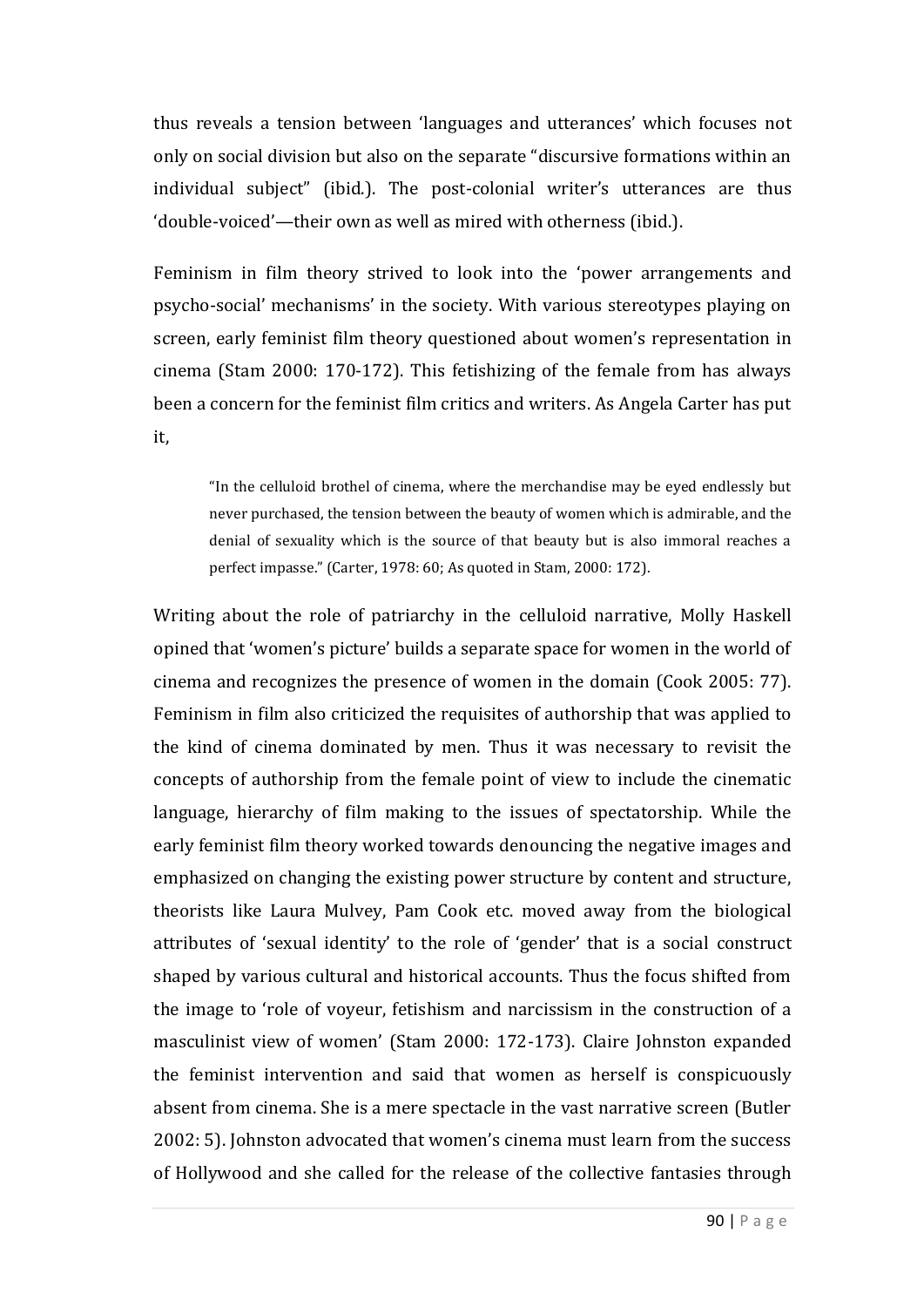thus reveals a tension between 'languages and utterances' which focuses not only on social division but also on the separate "discursive formations within an individual subject" (ibid.). The post-colonial writer's utterances are thus 'double-voiced'—their own as well as mired with otherness (ibid.).

Feminism in film theory strived to look into the 'power arrangements and psycho-social' mechanisms' in the society. With various stereotypes playing on screen, early feminist film theory questioned about women's representation in cinema (Stam 2000: 170-172). This fetishizing of the female from has always been a concern for the feminist film critics and writers. As Angela Carter has put it,

"In the celluloid brothel of cinema, where the merchandise may be eyed endlessly but never purchased, the tension between the beauty of women which is admirable, and the denial of sexuality which is the source of that beauty but is also immoral reaches a perfect impasse." (Carter, 1978: 60; As quoted in Stam, 2000: 172).

Writing about the role of patriarchy in the celluloid narrative, Molly Haskell opined that 'women's picture' builds a separate space for women in the world of cinema and recognizes the presence of women in the domain (Cook 2005: 77). Feminism in film also criticized the requisites of authorship that was applied to the kind of cinema dominated by men. Thus it was necessary to revisit the concepts of authorship from the female point of view to include the cinematic language, hierarchy of film making to the issues of spectatorship. While the early feminist film theory worked towards denouncing the negative images and emphasized on changing the existing power structure by content and structure, theorists like Laura Mulvey, Pam Cook etc. moved away from the biological attributes of 'sexual identity' to the role of 'gender' that is a social construct shaped by various cultural and historical accounts. Thus the focus shifted from the image to 'role of voyeur, fetishism and narcissism in the construction of a masculinist view of women' (Stam 2000: 172-173). Claire Johnston expanded the feminist intervention and said that women as herself is conspicuously absent from cinema. She is a mere spectacle in the vast narrative screen (Butler 2002: 5). Johnston advocated that women's cinema must learn from the success of Hollywood and she called for the release of the collective fantasies through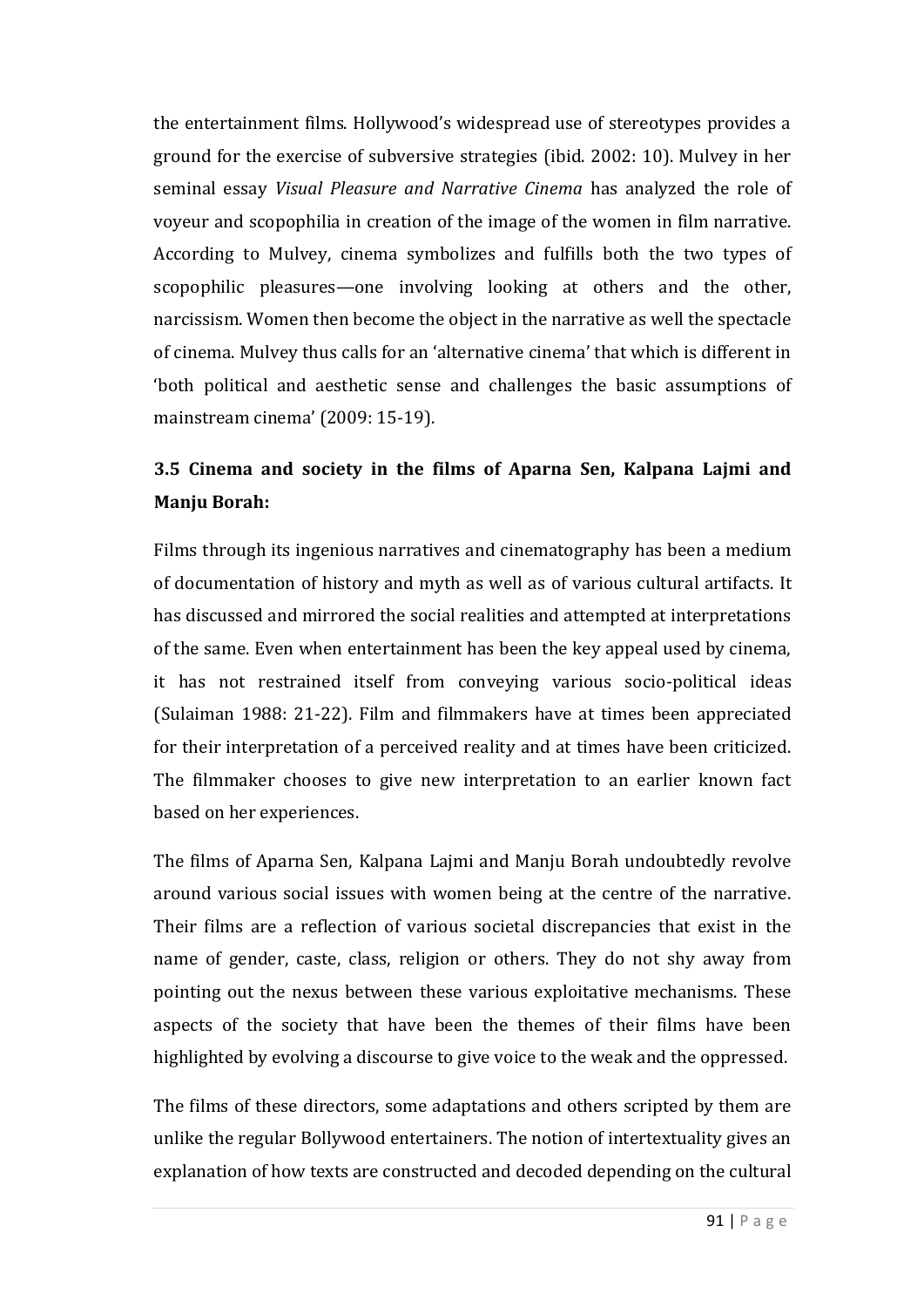the entertainment films. Hollywood's widespread use of stereotypes provides a ground for the exercise of subversive strategies (ibid. 2002: 10). Mulvey in her seminal essay *Visual Pleasure and Narrative Cinema* has analyzed the role of voyeur and scopophilia in creation of the image of the women in film narrative. According to Mulvey, cinema symbolizes and fulfills both the two types of scopophilic pleasures—one involving looking at others and the other, narcissism. Women then become the object in the narrative as well the spectacle of cinema. Mulvey thus calls for an 'alternative cinema' that which is different in 'both political and aesthetic sense and challenges the basic assumptions of mainstream cinema' (2009: 15-19).

# **3.5 Cinema and society in the films of Aparna Sen, Kalpana Lajmi and Manju Borah:**

Films through its ingenious narratives and cinematography has been a medium of documentation of history and myth as well as of various cultural artifacts. It has discussed and mirrored the social realities and attempted at interpretations of the same. Even when entertainment has been the key appeal used by cinema, it has not restrained itself from conveying various socio-political ideas (Sulaiman 1988: 21-22). Film and filmmakers have at times been appreciated for their interpretation of a perceived reality and at times have been criticized. The filmmaker chooses to give new interpretation to an earlier known fact based on her experiences.

The films of Aparna Sen, Kalpana Lajmi and Manju Borah undoubtedly revolve around various social issues with women being at the centre of the narrative. Their films are a reflection of various societal discrepancies that exist in the name of gender, caste, class, religion or others. They do not shy away from pointing out the nexus between these various exploitative mechanisms. These aspects of the society that have been the themes of their films have been highlighted by evolving a discourse to give voice to the weak and the oppressed.

The films of these directors, some adaptations and others scripted by them are unlike the regular Bollywood entertainers. The notion of intertextuality gives an explanation of how texts are constructed and decoded depending on the cultural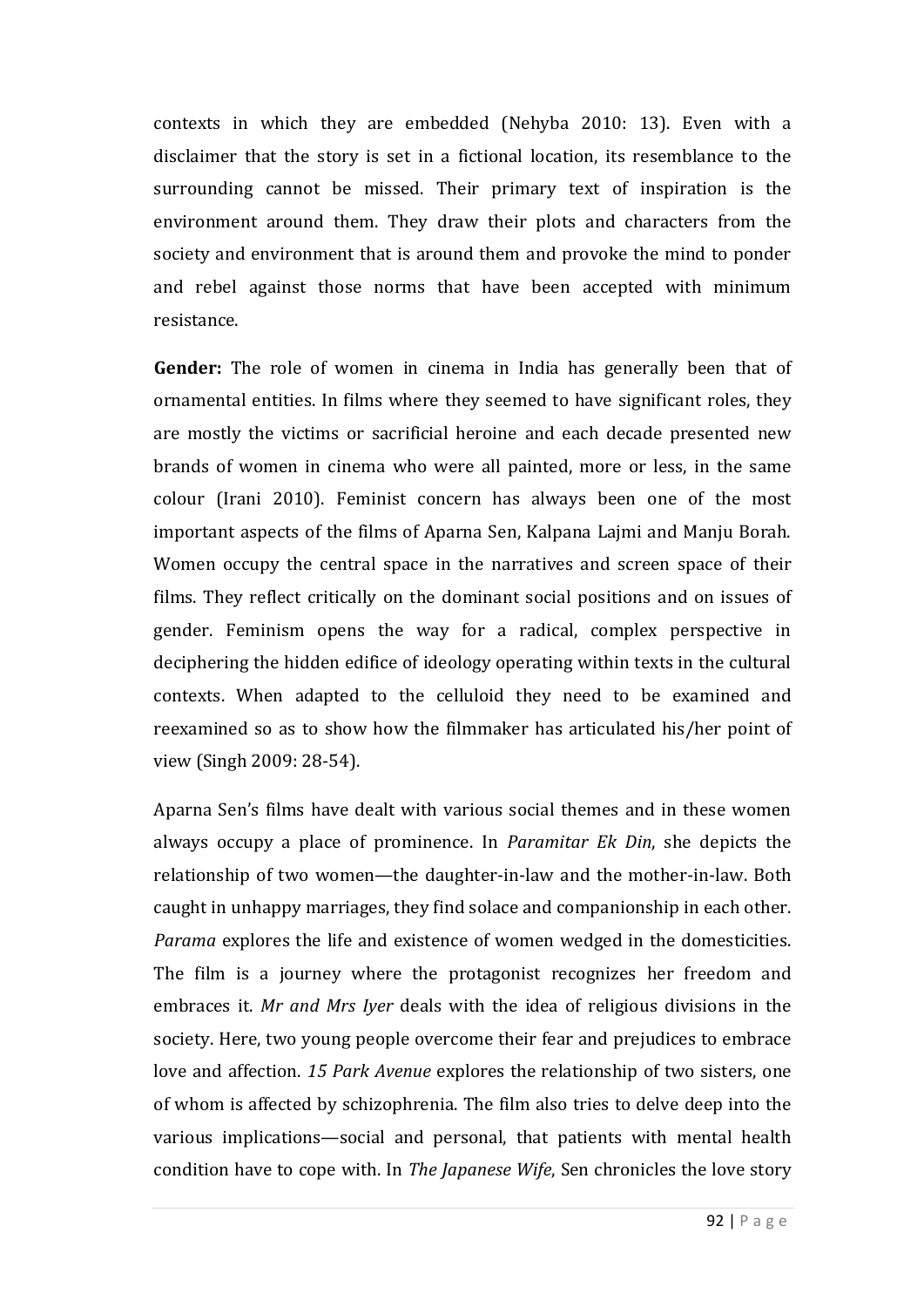contexts in which they are embedded (Nehyba 2010: 13). Even with a disclaimer that the story is set in a fictional location, its resemblance to the surrounding cannot be missed. Their primary text of inspiration is the environment around them. They draw their plots and characters from the society and environment that is around them and provoke the mind to ponder and rebel against those norms that have been accepted with minimum resistance.

**Gender:** The role of women in cinema in India has generally been that of ornamental entities. In films where they seemed to have significant roles, they are mostly the victims or sacrificial heroine and each decade presented new brands of women in cinema who were all painted, more or less, in the same colour (Irani 2010). Feminist concern has always been one of the most important aspects of the films of Aparna Sen, Kalpana Lajmi and Manju Borah. Women occupy the central space in the narratives and screen space of their films. They reflect critically on the dominant social positions and on issues of gender. Feminism opens the way for a radical, complex perspective in deciphering the hidden edifice of ideology operating within texts in the cultural contexts. When adapted to the celluloid they need to be examined and reexamined so as to show how the filmmaker has articulated his/her point of view (Singh 2009: 28-54).

Aparna Sen's films have dealt with various social themes and in these women always occupy a place of prominence. In *Paramitar Ek Din*, she depicts the relationship of two women—the daughter-in-law and the mother-in-law. Both caught in unhappy marriages, they find solace and companionship in each other. *Parama* explores the life and existence of women wedged in the domesticities. The film is a journey where the protagonist recognizes her freedom and embraces it. *Mr and Mrs Iyer* deals with the idea of religious divisions in the society. Here, two young people overcome their fear and prejudices to embrace love and affection. *15 Park Avenue* explores the relationship of two sisters, one of whom is affected by schizophrenia. The film also tries to delve deep into the various implications—social and personal, that patients with mental health condition have to cope with. In *The Japanese Wife*, Sen chronicles the love story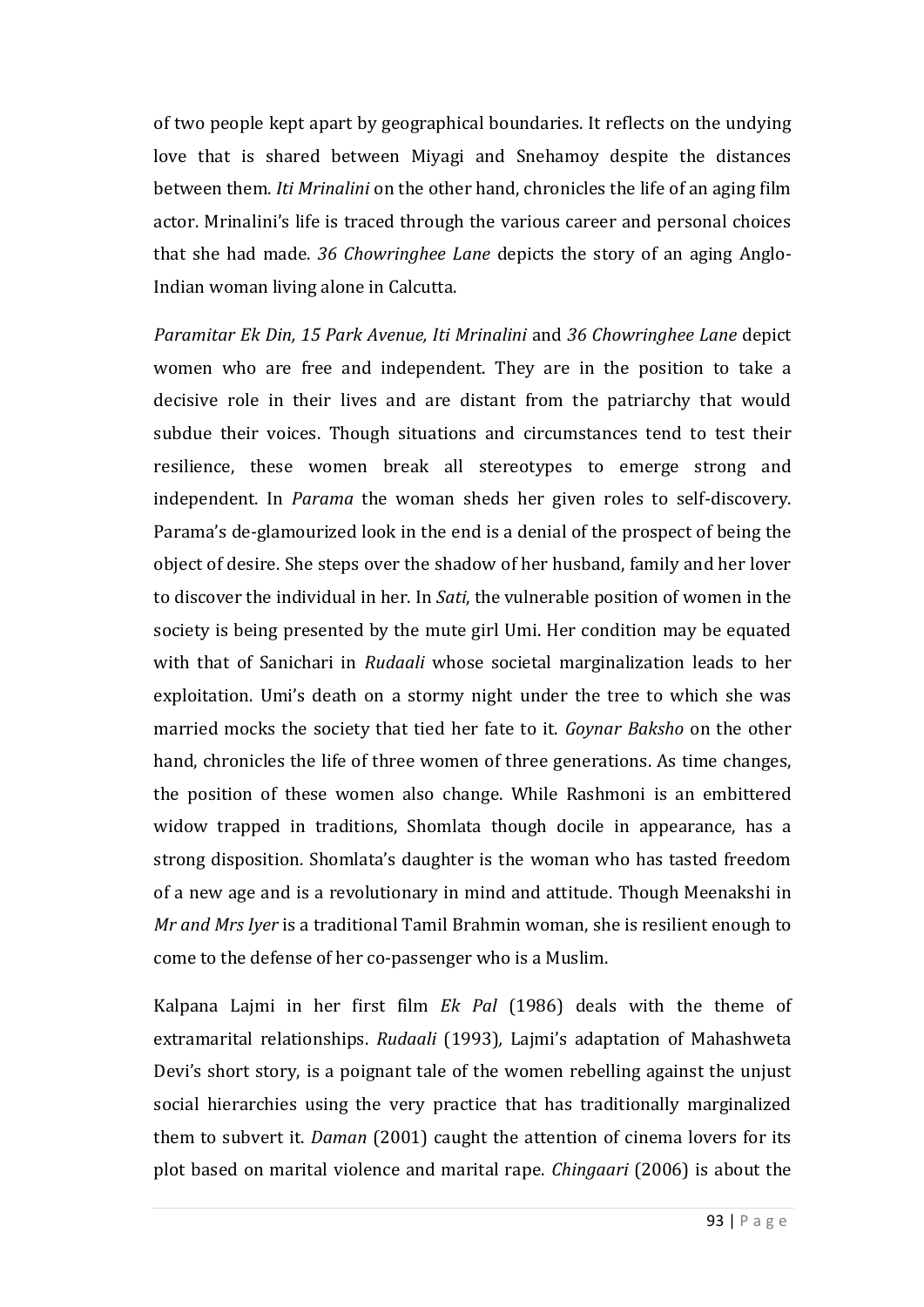of two people kept apart by geographical boundaries. It reflects on the undying love that is shared between Miyagi and Snehamoy despite the distances between them. *Iti Mrinalini* on the other hand, chronicles the life of an aging film actor. Mrinalini's life is traced through the various career and personal choices that she had made. *36 Chowringhee Lane* depicts the story of an aging Anglo-Indian woman living alone in Calcutta.

*Paramitar Ek Din, 15 Park Avenue, Iti Mrinalini* and *36 Chowringhee Lane* depict women who are free and independent. They are in the position to take a decisive role in their lives and are distant from the patriarchy that would subdue their voices. Though situations and circumstances tend to test their resilience, these women break all stereotypes to emerge strong and independent. In *Parama* the woman sheds her given roles to self-discovery. Parama's de-glamourized look in the end is a denial of the prospect of being the object of desire. She steps over the shadow of her husband, family and her lover to discover the individual in her. In *Sati*, the vulnerable position of women in the society is being presented by the mute girl Umi. Her condition may be equated with that of Sanichari in *Rudaali* whose societal marginalization leads to her exploitation. Umi's death on a stormy night under the tree to which she was married mocks the society that tied her fate to it. *Goynar Baksho* on the other hand, chronicles the life of three women of three generations. As time changes, the position of these women also change. While Rashmoni is an embittered widow trapped in traditions, Shomlata though docile in appearance, has a strong disposition. Shomlata's daughter is the woman who has tasted freedom of a new age and is a revolutionary in mind and attitude. Though Meenakshi in *Mr and Mrs Iyer* is a traditional Tamil Brahmin woman, she is resilient enough to come to the defense of her co-passenger who is a Muslim.

Kalpana Lajmi in her first film *Ek Pal* (1986) deals with the theme of extramarital relationships. *Rudaali* (1993)*,* Lajmi's adaptation of Mahashweta Devi's short story, is a poignant tale of the women rebelling against the unjust social hierarchies using the very practice that has traditionally marginalized them to subvert it. *Daman* (2001) caught the attention of cinema lovers for its plot based on marital violence and marital rape. *Chingaari* (2006) is about the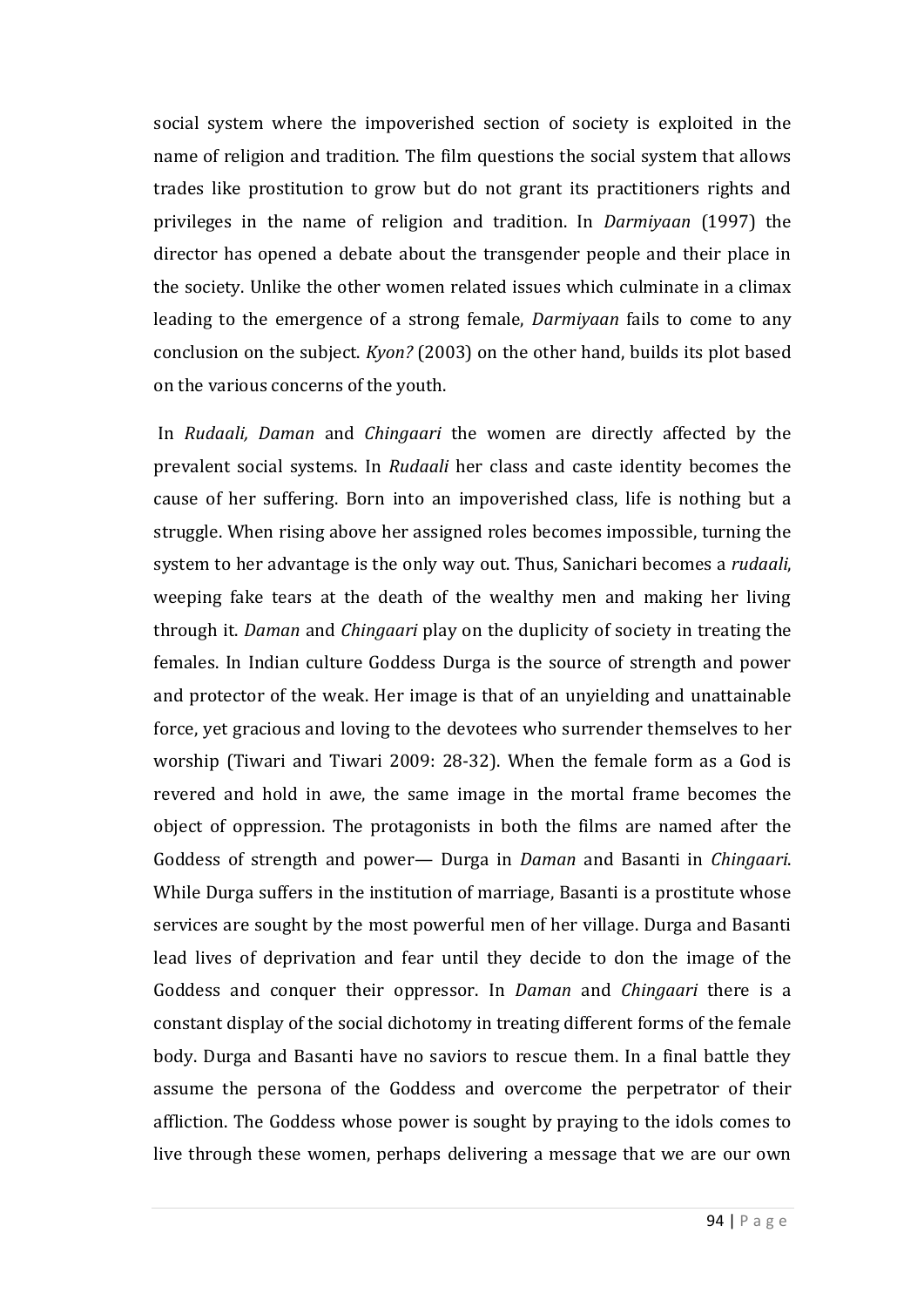social system where the impoverished section of society is exploited in the name of religion and tradition. The film questions the social system that allows trades like prostitution to grow but do not grant its practitioners rights and privileges in the name of religion and tradition. In *Darmiyaan* (1997) the director has opened a debate about the transgender people and their place in the society. Unlike the other women related issues which culminate in a climax leading to the emergence of a strong female, *Darmiyaan* fails to come to any conclusion on the subject. *Kyon?* (2003) on the other hand, builds its plot based on the various concerns of the youth.

In *Rudaali, Daman* and *Chingaari* the women are directly affected by the prevalent social systems. In *Rudaali* her class and caste identity becomes the cause of her suffering. Born into an impoverished class, life is nothing but a struggle. When rising above her assigned roles becomes impossible, turning the system to her advantage is the only way out. Thus, Sanichari becomes a *rudaali*, weeping fake tears at the death of the wealthy men and making her living through it. *Daman* and *Chingaari* play on the duplicity of society in treating the females. In Indian culture Goddess Durga is the source of strength and power and protector of the weak. Her image is that of an unyielding and unattainable force, yet gracious and loving to the devotees who surrender themselves to her worship (Tiwari and Tiwari 2009: 28-32). When the female form as a God is revered and hold in awe, the same image in the mortal frame becomes the object of oppression. The protagonists in both the films are named after the Goddess of strength and power— Durga in *Daman* and Basanti in *Chingaari*. While Durga suffers in the institution of marriage, Basanti is a prostitute whose services are sought by the most powerful men of her village. Durga and Basanti lead lives of deprivation and fear until they decide to don the image of the Goddess and conquer their oppressor. In *Daman* and *Chingaari* there is a constant display of the social dichotomy in treating different forms of the female body. Durga and Basanti have no saviors to rescue them. In a final battle they assume the persona of the Goddess and overcome the perpetrator of their affliction. The Goddess whose power is sought by praying to the idols comes to live through these women, perhaps delivering a message that we are our own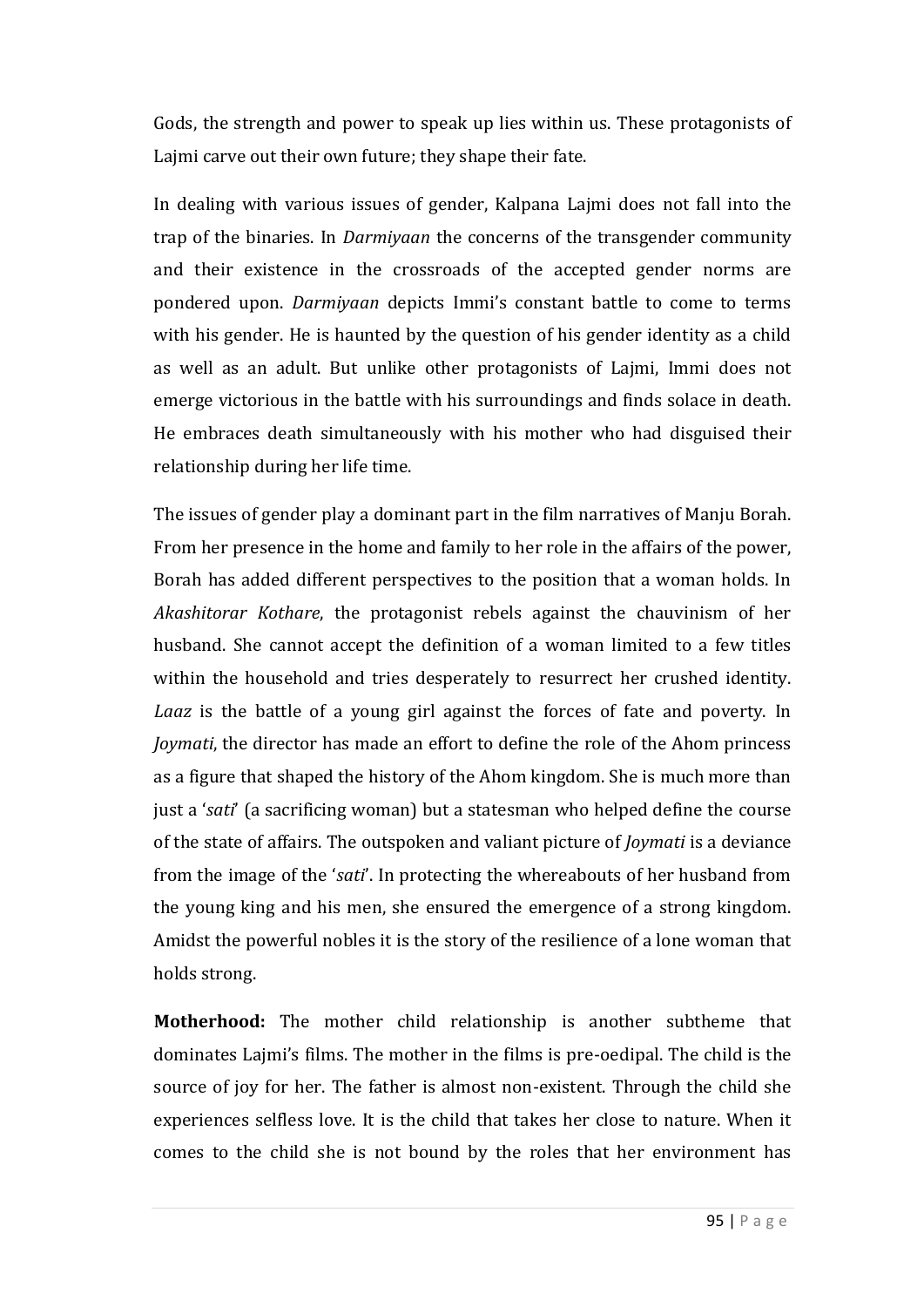Gods, the strength and power to speak up lies within us. These protagonists of Lajmi carve out their own future; they shape their fate.

In dealing with various issues of gender, Kalpana Lajmi does not fall into the trap of the binaries. In *Darmiyaan* the concerns of the transgender community and their existence in the crossroads of the accepted gender norms are pondered upon. *Darmiyaan* depicts Immi's constant battle to come to terms with his gender. He is haunted by the question of his gender identity as a child as well as an adult. But unlike other protagonists of Lajmi, Immi does not emerge victorious in the battle with his surroundings and finds solace in death. He embraces death simultaneously with his mother who had disguised their relationship during her life time.

The issues of gender play a dominant part in the film narratives of Manju Borah. From her presence in the home and family to her role in the affairs of the power, Borah has added different perspectives to the position that a woman holds. In *Akashitorar Kothare*, the protagonist rebels against the chauvinism of her husband. She cannot accept the definition of a woman limited to a few titles within the household and tries desperately to resurrect her crushed identity. *Laaz* is the battle of a young girl against the forces of fate and poverty. In *Joymati*, the director has made an effort to define the role of the Ahom princess as a figure that shaped the history of the Ahom kingdom. She is much more than just a '*sati*' (a sacrificing woman) but a statesman who helped define the course of the state of affairs. The outspoken and valiant picture of *Joymati* is a deviance from the image of the '*sati*'. In protecting the whereabouts of her husband from the young king and his men, she ensured the emergence of a strong kingdom. Amidst the powerful nobles it is the story of the resilience of a lone woman that holds strong.

**Motherhood:** The mother child relationship is another subtheme that dominates Lajmi's films. The mother in the films is pre-oedipal. The child is the source of joy for her. The father is almost non-existent. Through the child she experiences selfless love. It is the child that takes her close to nature. When it comes to the child she is not bound by the roles that her environment has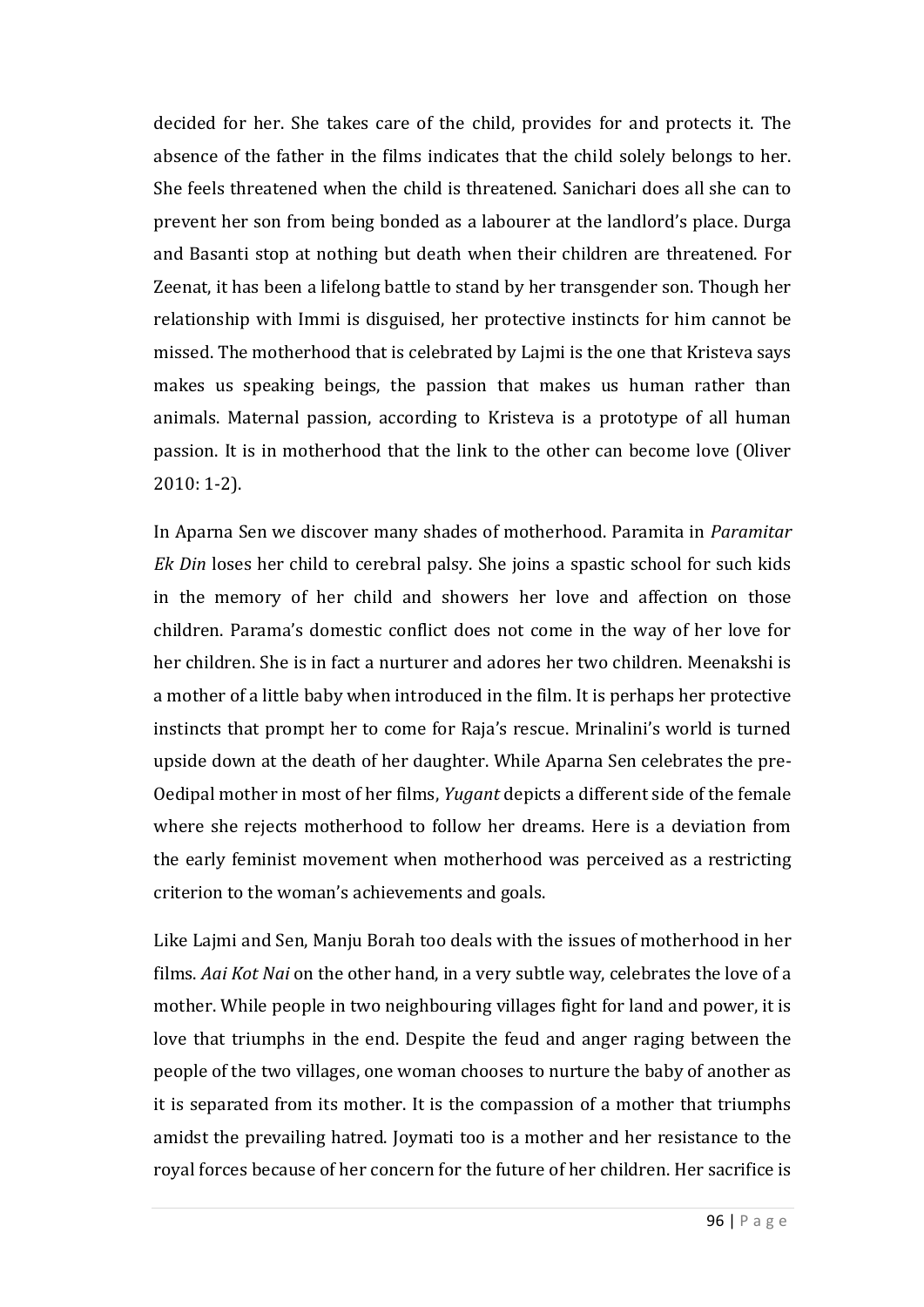decided for her. She takes care of the child, provides for and protects it. The absence of the father in the films indicates that the child solely belongs to her. She feels threatened when the child is threatened. Sanichari does all she can to prevent her son from being bonded as a labourer at the landlord's place. Durga and Basanti stop at nothing but death when their children are threatened. For Zeenat, it has been a lifelong battle to stand by her transgender son. Though her relationship with Immi is disguised, her protective instincts for him cannot be missed. The motherhood that is celebrated by Lajmi is the one that Kristeva says makes us speaking beings, the passion that makes us human rather than animals. Maternal passion, according to Kristeva is a prototype of all human passion. It is in motherhood that the link to the other can become love (Oliver 2010: 1-2).

In Aparna Sen we discover many shades of motherhood. Paramita in *Paramitar Ek Din* loses her child to cerebral palsy. She joins a spastic school for such kids in the memory of her child and showers her love and affection on those children. Parama's domestic conflict does not come in the way of her love for her children. She is in fact a nurturer and adores her two children. Meenakshi is a mother of a little baby when introduced in the film. It is perhaps her protective instincts that prompt her to come for Raja's rescue. Mrinalini's world is turned upside down at the death of her daughter. While Aparna Sen celebrates the pre-Oedipal mother in most of her films, *Yugant* depicts a different side of the female where she rejects motherhood to follow her dreams. Here is a deviation from the early feminist movement when motherhood was perceived as a restricting criterion to the woman's achievements and goals.

Like Lajmi and Sen, Manju Borah too deals with the issues of motherhood in her films. *Aai Kot Nai* on the other hand, in a very subtle way, celebrates the love of a mother. While people in two neighbouring villages fight for land and power, it is love that triumphs in the end. Despite the feud and anger raging between the people of the two villages, one woman chooses to nurture the baby of another as it is separated from its mother. It is the compassion of a mother that triumphs amidst the prevailing hatred. Joymati too is a mother and her resistance to the royal forces because of her concern for the future of her children. Her sacrifice is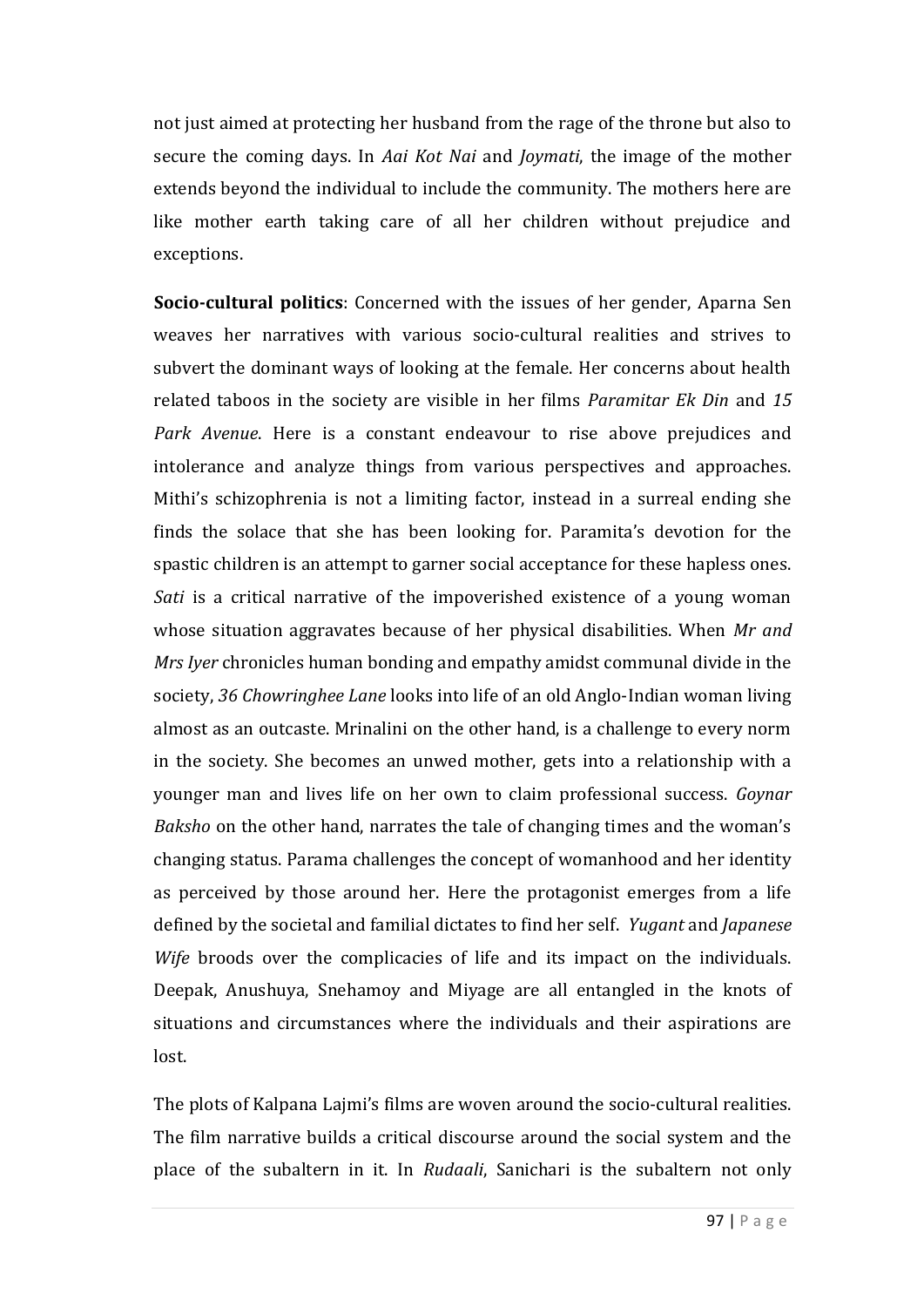not just aimed at protecting her husband from the rage of the throne but also to secure the coming days. In *Aai Kot Nai* and *Joymati*, the image of the mother extends beyond the individual to include the community. The mothers here are like mother earth taking care of all her children without prejudice and exceptions.

**Socio-cultural politics**: Concerned with the issues of her gender, Aparna Sen weaves her narratives with various socio-cultural realities and strives to subvert the dominant ways of looking at the female. Her concerns about health related taboos in the society are visible in her films *Paramitar Ek Din* and *15 Park Avenue*. Here is a constant endeavour to rise above prejudices and intolerance and analyze things from various perspectives and approaches. Mithi's schizophrenia is not a limiting factor, instead in a surreal ending she finds the solace that she has been looking for. Paramita's devotion for the spastic children is an attempt to garner social acceptance for these hapless ones. *Sati* is a critical narrative of the impoverished existence of a young woman whose situation aggravates because of her physical disabilities. When *Mr and Mrs Iyer* chronicles human bonding and empathy amidst communal divide in the society, *36 Chowringhee Lane* looks into life of an old Anglo-Indian woman living almost as an outcaste. Mrinalini on the other hand, is a challenge to every norm in the society. She becomes an unwed mother, gets into a relationship with a younger man and lives life on her own to claim professional success. *Goynar Baksho* on the other hand, narrates the tale of changing times and the woman's changing status. Parama challenges the concept of womanhood and her identity as perceived by those around her. Here the protagonist emerges from a life defined by the societal and familial dictates to find her self. *Yugant* and *Japanese Wife* broods over the complicacies of life and its impact on the individuals. Deepak, Anushuya, Snehamoy and Miyage are all entangled in the knots of situations and circumstances where the individuals and their aspirations are lost.

The plots of Kalpana Lajmi's films are woven around the socio-cultural realities. The film narrative builds a critical discourse around the social system and the place of the subaltern in it. In *Rudaali*, Sanichari is the subaltern not only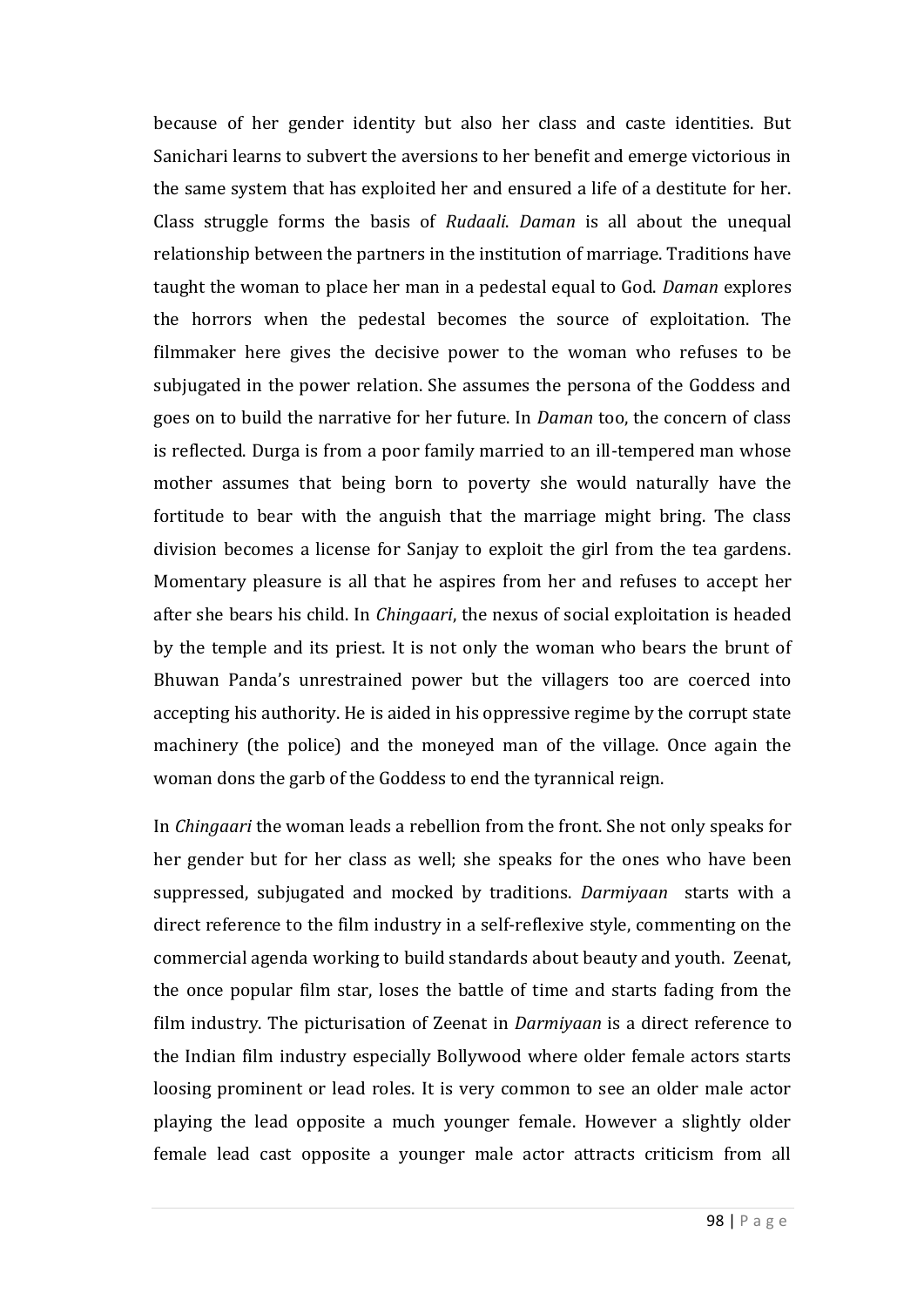because of her gender identity but also her class and caste identities. But Sanichari learns to subvert the aversions to her benefit and emerge victorious in the same system that has exploited her and ensured a life of a destitute for her. Class struggle forms the basis of *Rudaali*. *Daman* is all about the unequal relationship between the partners in the institution of marriage. Traditions have taught the woman to place her man in a pedestal equal to God. *Daman* explores the horrors when the pedestal becomes the source of exploitation. The filmmaker here gives the decisive power to the woman who refuses to be subjugated in the power relation. She assumes the persona of the Goddess and goes on to build the narrative for her future. In *Daman* too, the concern of class is reflected. Durga is from a poor family married to an ill-tempered man whose mother assumes that being born to poverty she would naturally have the fortitude to bear with the anguish that the marriage might bring. The class division becomes a license for Sanjay to exploit the girl from the tea gardens. Momentary pleasure is all that he aspires from her and refuses to accept her after she bears his child. In *Chingaari*, the nexus of social exploitation is headed by the temple and its priest. It is not only the woman who bears the brunt of Bhuwan Panda's unrestrained power but the villagers too are coerced into accepting his authority. He is aided in his oppressive regime by the corrupt state machinery (the police) and the moneyed man of the village. Once again the woman dons the garb of the Goddess to end the tyrannical reign.

In *Chingaari* the woman leads a rebellion from the front. She not only speaks for her gender but for her class as well; she speaks for the ones who have been suppressed, subjugated and mocked by traditions. *Darmiyaan* starts with a direct reference to the film industry in a self-reflexive style, commenting on the commercial agenda working to build standards about beauty and youth. Zeenat, the once popular film star, loses the battle of time and starts fading from the film industry. The picturisation of Zeenat in *Darmiyaan* is a direct reference to the Indian film industry especially Bollywood where older female actors starts loosing prominent or lead roles. It is very common to see an older male actor playing the lead opposite a much younger female. However a slightly older female lead cast opposite a younger male actor attracts criticism from all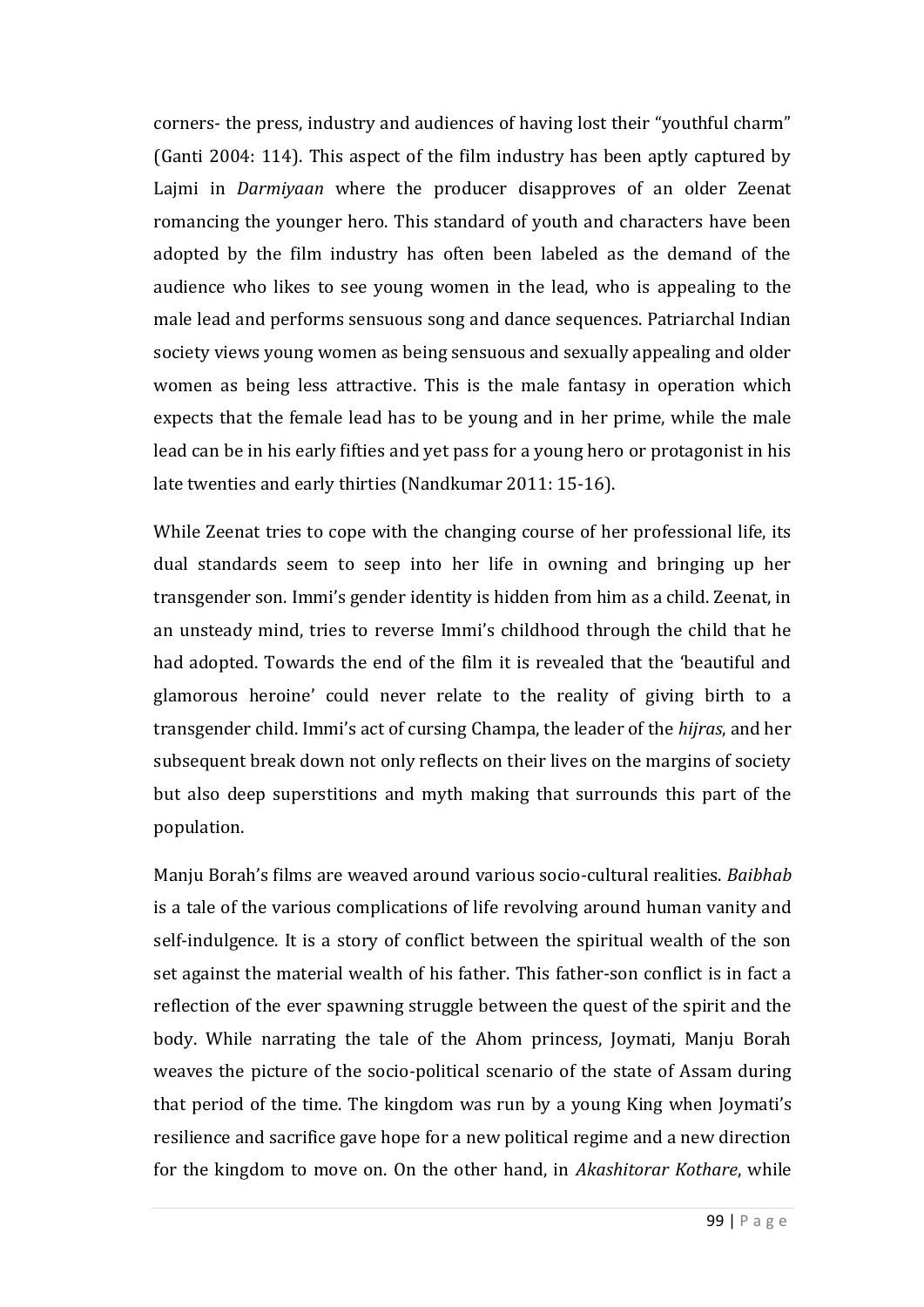corners- the press, industry and audiences of having lost their "youthful charm" (Ganti 2004: 114). This aspect of the film industry has been aptly captured by Lajmi in *Darmiyaan* where the producer disapproves of an older Zeenat romancing the younger hero. This standard of youth and characters have been adopted by the film industry has often been labeled as the demand of the audience who likes to see young women in the lead, who is appealing to the male lead and performs sensuous song and dance sequences. Patriarchal Indian society views young women as being sensuous and sexually appealing and older women as being less attractive. This is the male fantasy in operation which expects that the female lead has to be young and in her prime, while the male lead can be in his early fifties and yet pass for a young hero or protagonist in his late twenties and early thirties (Nandkumar 2011: 15-16).

While Zeenat tries to cope with the changing course of her professional life, its dual standards seem to seep into her life in owning and bringing up her transgender son. Immi's gender identity is hidden from him as a child. Zeenat, in an unsteady mind, tries to reverse Immi's childhood through the child that he had adopted. Towards the end of the film it is revealed that the 'beautiful and glamorous heroine' could never relate to the reality of giving birth to a transgender child. Immi's act of cursing Champa, the leader of the *hijras*, and her subsequent break down not only reflects on their lives on the margins of society but also deep superstitions and myth making that surrounds this part of the population.

Manju Borah's films are weaved around various socio-cultural realities. *Baibhab* is a tale of the various complications of life revolving around human vanity and self-indulgence. It is a story of conflict between the spiritual wealth of the son set against the material wealth of his father. This father-son conflict is in fact a reflection of the ever spawning struggle between the quest of the spirit and the body. While narrating the tale of the Ahom princess, Joymati, Manju Borah weaves the picture of the socio-political scenario of the state of Assam during that period of the time. The kingdom was run by a young King when Joymati's resilience and sacrifice gave hope for a new political regime and a new direction for the kingdom to move on. On the other hand, in *Akashitorar Kothare*, while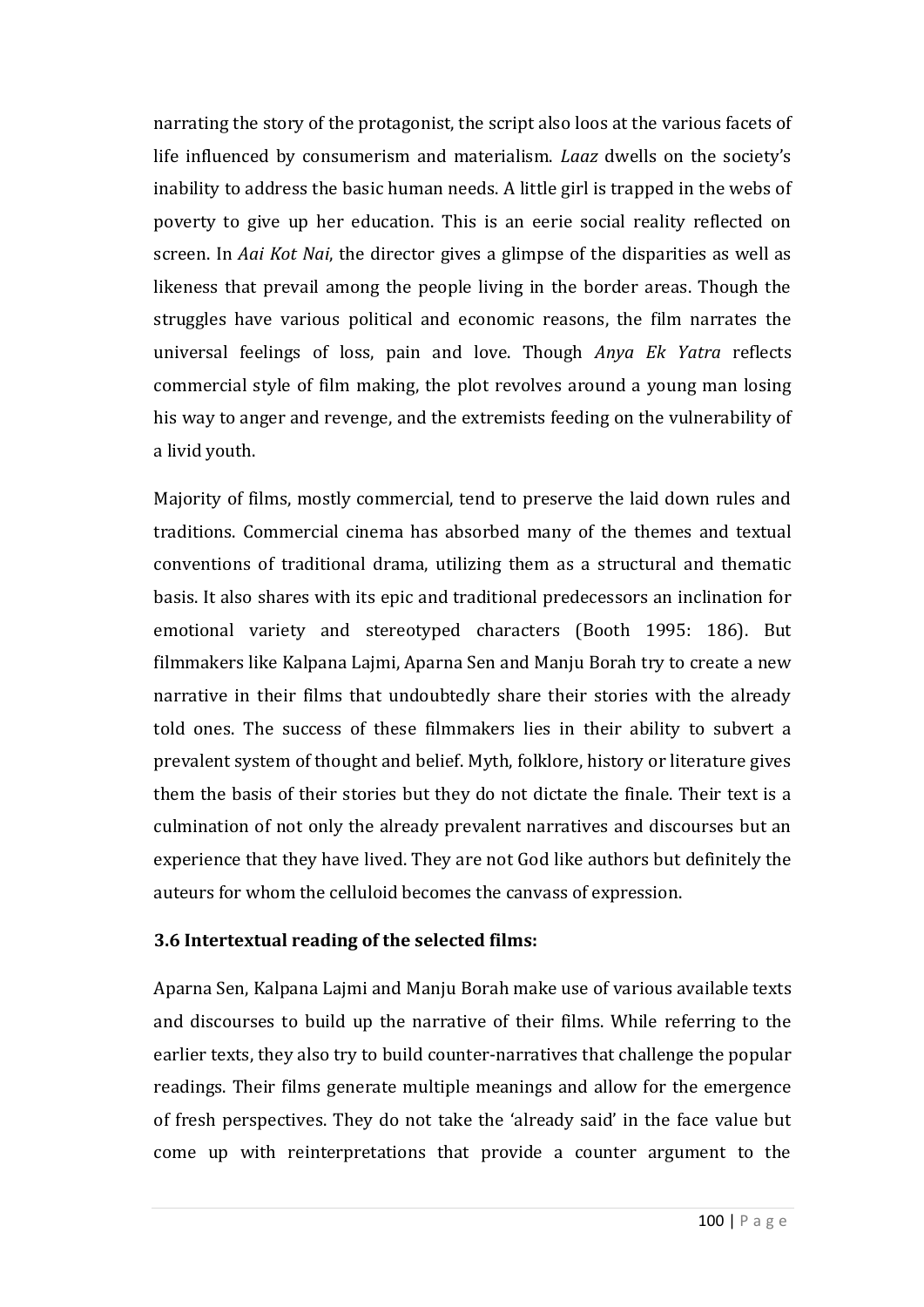narrating the story of the protagonist, the script also loos at the various facets of life influenced by consumerism and materialism. *Laaz* dwells on the society's inability to address the basic human needs. A little girl is trapped in the webs of poverty to give up her education. This is an eerie social reality reflected on screen. In *Aai Kot Nai*, the director gives a glimpse of the disparities as well as likeness that prevail among the people living in the border areas. Though the struggles have various political and economic reasons, the film narrates the universal feelings of loss, pain and love. Though *Anya Ek Yatra* reflects commercial style of film making, the plot revolves around a young man losing his way to anger and revenge, and the extremists feeding on the vulnerability of a livid youth.

Majority of films, mostly commercial, tend to preserve the laid down rules and traditions. Commercial cinema has absorbed many of the themes and textual conventions of traditional drama, utilizing them as a structural and thematic basis. It also shares with its epic and traditional predecessors an inclination for emotional variety and stereotyped characters (Booth 1995: 186). But filmmakers like Kalpana Lajmi, Aparna Sen and Manju Borah try to create a new narrative in their films that undoubtedly share their stories with the already told ones. The success of these filmmakers lies in their ability to subvert a prevalent system of thought and belief. Myth, folklore, history or literature gives them the basis of their stories but they do not dictate the finale. Their text is a culmination of not only the already prevalent narratives and discourses but an experience that they have lived. They are not God like authors but definitely the auteurs for whom the celluloid becomes the canvass of expression.

#### **3.6 Intertextual reading of the selected films:**

Aparna Sen, Kalpana Lajmi and Manju Borah make use of various available texts and discourses to build up the narrative of their films. While referring to the earlier texts, they also try to build counter-narratives that challenge the popular readings. Their films generate multiple meanings and allow for the emergence of fresh perspectives. They do not take the 'already said' in the face value but come up with reinterpretations that provide a counter argument to the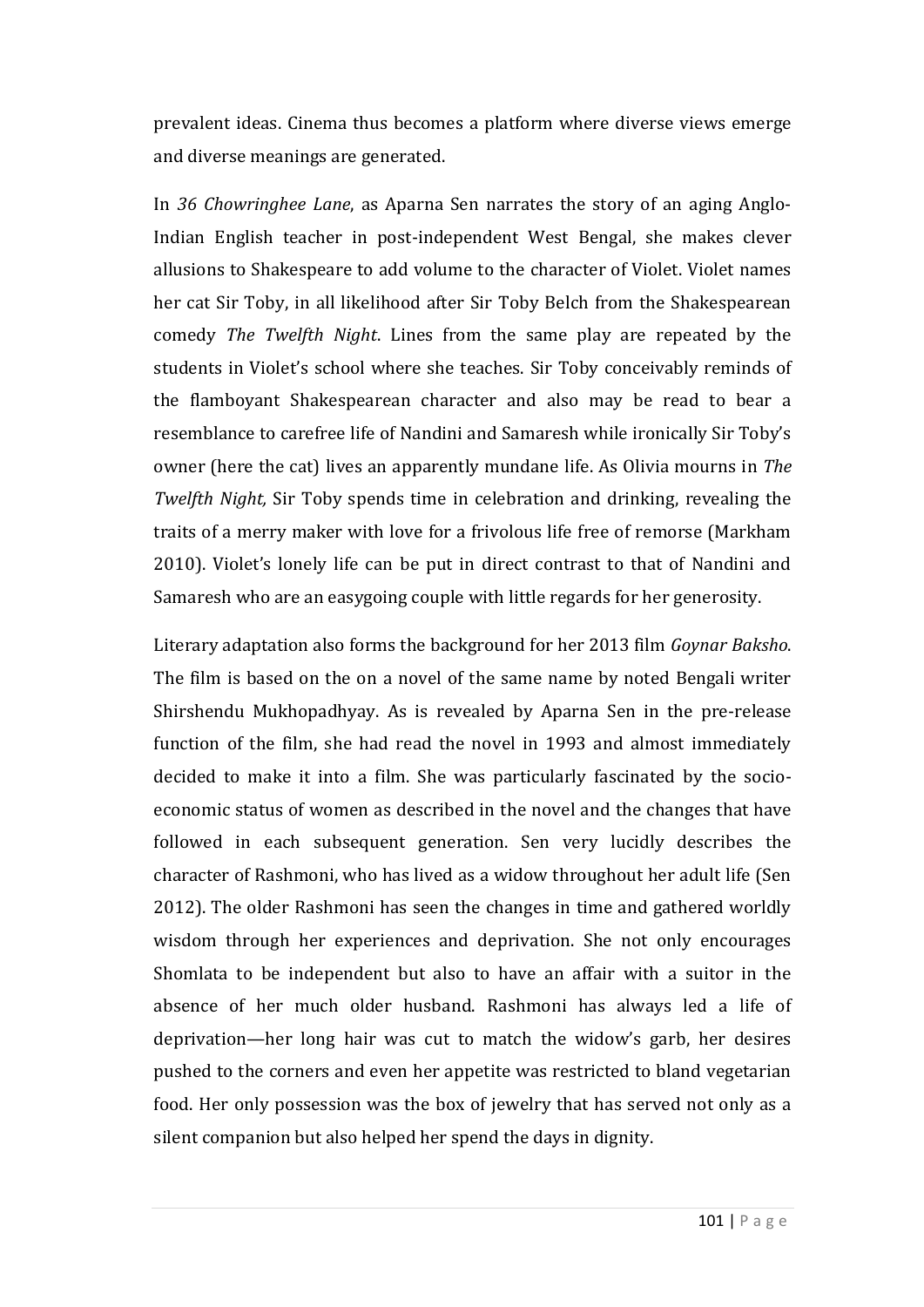prevalent ideas. Cinema thus becomes a platform where diverse views emerge and diverse meanings are generated.

In *36 Chowringhee Lane*, as Aparna Sen narrates the story of an aging Anglo-Indian English teacher in post-independent West Bengal, she makes clever allusions to Shakespeare to add volume to the character of Violet. Violet names her cat Sir Toby, in all likelihood after Sir Toby Belch from the Shakespearean comedy *The Twelfth Night*. Lines from the same play are repeated by the students in Violet's school where she teaches. Sir Toby conceivably reminds of the flamboyant Shakespearean character and also may be read to bear a resemblance to carefree life of Nandini and Samaresh while ironically Sir Toby's owner (here the cat) lives an apparently mundane life. As Olivia mourns in *The Twelfth Night,* Sir Toby spends time in celebration and drinking, revealing the traits of a merry maker with love for a frivolous life free of remorse (Markham 2010). Violet's lonely life can be put in direct contrast to that of Nandini and Samaresh who are an easygoing couple with little regards for her generosity.

Literary adaptation also forms the background for her 2013 film *Goynar Baksho*. The film is based on the on a novel of the same name by noted Bengali writer Shirshendu Mukhopadhyay. As is revealed by Aparna Sen in the pre-release function of the film, she had read the novel in 1993 and almost immediately decided to make it into a film. She was particularly fascinated by the socioeconomic status of women as described in the novel and the changes that have followed in each subsequent generation. Sen very lucidly describes the character of Rashmoni, who has lived as a widow throughout her adult life (Sen 2012). The older Rashmoni has seen the changes in time and gathered worldly wisdom through her experiences and deprivation. She not only encourages Shomlata to be independent but also to have an affair with a suitor in the absence of her much older husband. Rashmoni has always led a life of deprivation—her long hair was cut to match the widow's garb, her desires pushed to the corners and even her appetite was restricted to bland vegetarian food. Her only possession was the box of jewelry that has served not only as a silent companion but also helped her spend the days in dignity.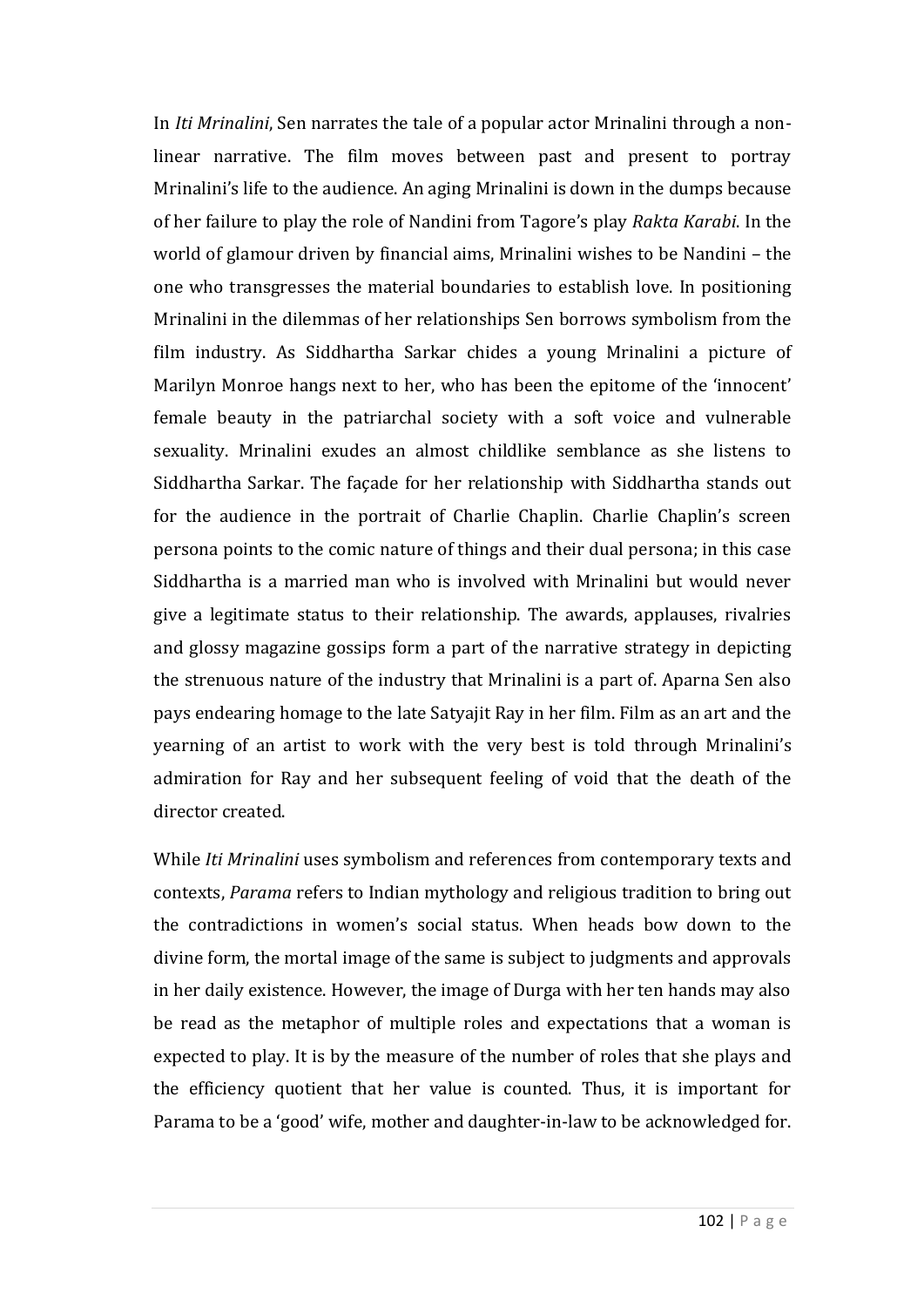In *Iti Mrinalini*, Sen narrates the tale of a popular actor Mrinalini through a nonlinear narrative. The film moves between past and present to portray Mrinalini's life to the audience. An aging Mrinalini is down in the dumps because of her failure to play the role of Nandini from Tagore's play *Rakta Karabi*. In the world of glamour driven by financial aims, Mrinalini wishes to be Nandini – the one who transgresses the material boundaries to establish love. In positioning Mrinalini in the dilemmas of her relationships Sen borrows symbolism from the film industry. As Siddhartha Sarkar chides a young Mrinalini a picture of Marilyn Monroe hangs next to her, who has been the epitome of the 'innocent' female beauty in the patriarchal society with a soft voice and vulnerable sexuality. Mrinalini exudes an almost childlike semblance as she listens to Siddhartha Sarkar. The façade for her relationship with Siddhartha stands out for the audience in the portrait of Charlie Chaplin. Charlie Chaplin's screen persona points to the comic nature of things and their dual persona; in this case Siddhartha is a married man who is involved with Mrinalini but would never give a legitimate status to their relationship. The awards, applauses, rivalries and glossy magazine gossips form a part of the narrative strategy in depicting the strenuous nature of the industry that Mrinalini is a part of. Aparna Sen also pays endearing homage to the late Satyajit Ray in her film. Film as an art and the yearning of an artist to work with the very best is told through Mrinalini's admiration for Ray and her subsequent feeling of void that the death of the director created.

While *Iti Mrinalini* uses symbolism and references from contemporary texts and contexts, *Parama* refers to Indian mythology and religious tradition to bring out the contradictions in women's social status. When heads bow down to the divine form, the mortal image of the same is subject to judgments and approvals in her daily existence. However, the image of Durga with her ten hands may also be read as the metaphor of multiple roles and expectations that a woman is expected to play. It is by the measure of the number of roles that she plays and the efficiency quotient that her value is counted. Thus, it is important for Parama to be a 'good' wife, mother and daughter-in-law to be acknowledged for.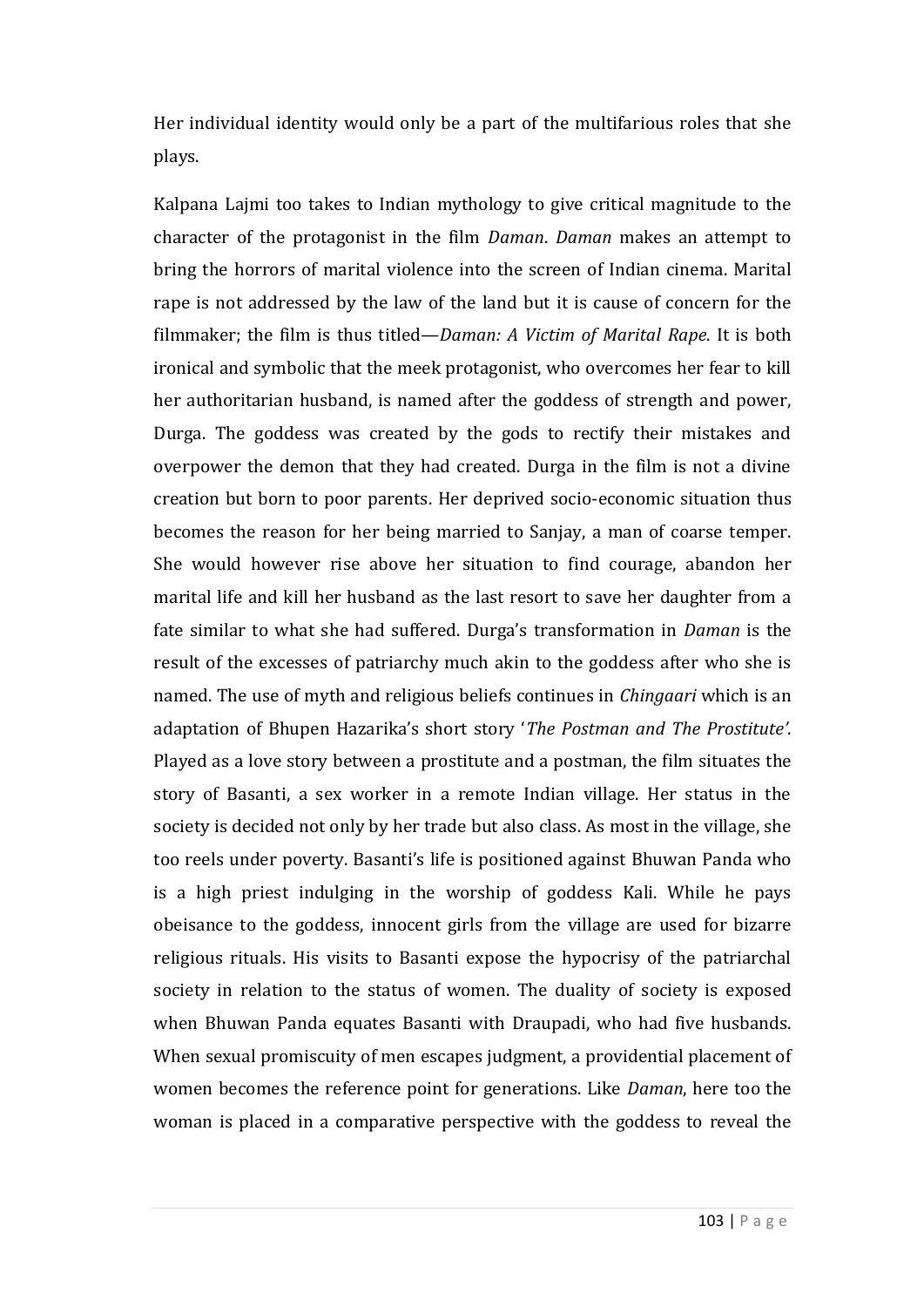Her individual identity would only be a part of the multifarious roles that she plays.

Kalpana Lajmi too takes to Indian mythology to give critical magnitude to the character of the protagonist in the film *Daman*. *Daman* makes an attempt to bring the horrors of marital violence into the screen of Indian cinema. Marital rape is not addressed by the law of the land but it is cause of concern for the filmmaker; the film is thus titled—*Daman: A Victim of Marital Rape*. It is both ironical and symbolic that the meek protagonist, who overcomes her fear to kill her authoritarian husband, is named after the goddess of strength and power, Durga. The goddess was created by the gods to rectify their mistakes and overpower the demon that they had created. Durga in the film is not a divine creation but born to poor parents. Her deprived socio-economic situation thus becomes the reason for her being married to Sanjay, a man of coarse temper. She would however rise above her situation to find courage, abandon her marital life and kill her husband as the last resort to save her daughter from a fate similar to what she had suffered. Durga's transformation in *Daman* is the result of the excesses of patriarchy much akin to the goddess after who she is named. The use of myth and religious beliefs continues in *Chingaari* which is an adaptation of Bhupen Hazarika's short story '*The Postman and The Prostitute'*. Played as a love story between a prostitute and a postman, the film situates the story of Basanti, a sex worker in a remote Indian village. Her status in the society is decided not only by her trade but also class. As most in the village, she too reels under poverty. Basanti's life is positioned against Bhuwan Panda who is a high priest indulging in the worship of goddess Kali. While he pays obeisance to the goddess, innocent girls from the village are used for bizarre religious rituals. His visits to Basanti expose the hypocrisy of the patriarchal society in relation to the status of women. The duality of society is exposed when Bhuwan Panda equates Basanti with Draupadi, who had five husbands. When sexual promiscuity of men escapes judgment, a providential placement of women becomes the reference point for generations. Like *Daman*, here too the woman is placed in a comparative perspective with the goddess to reveal the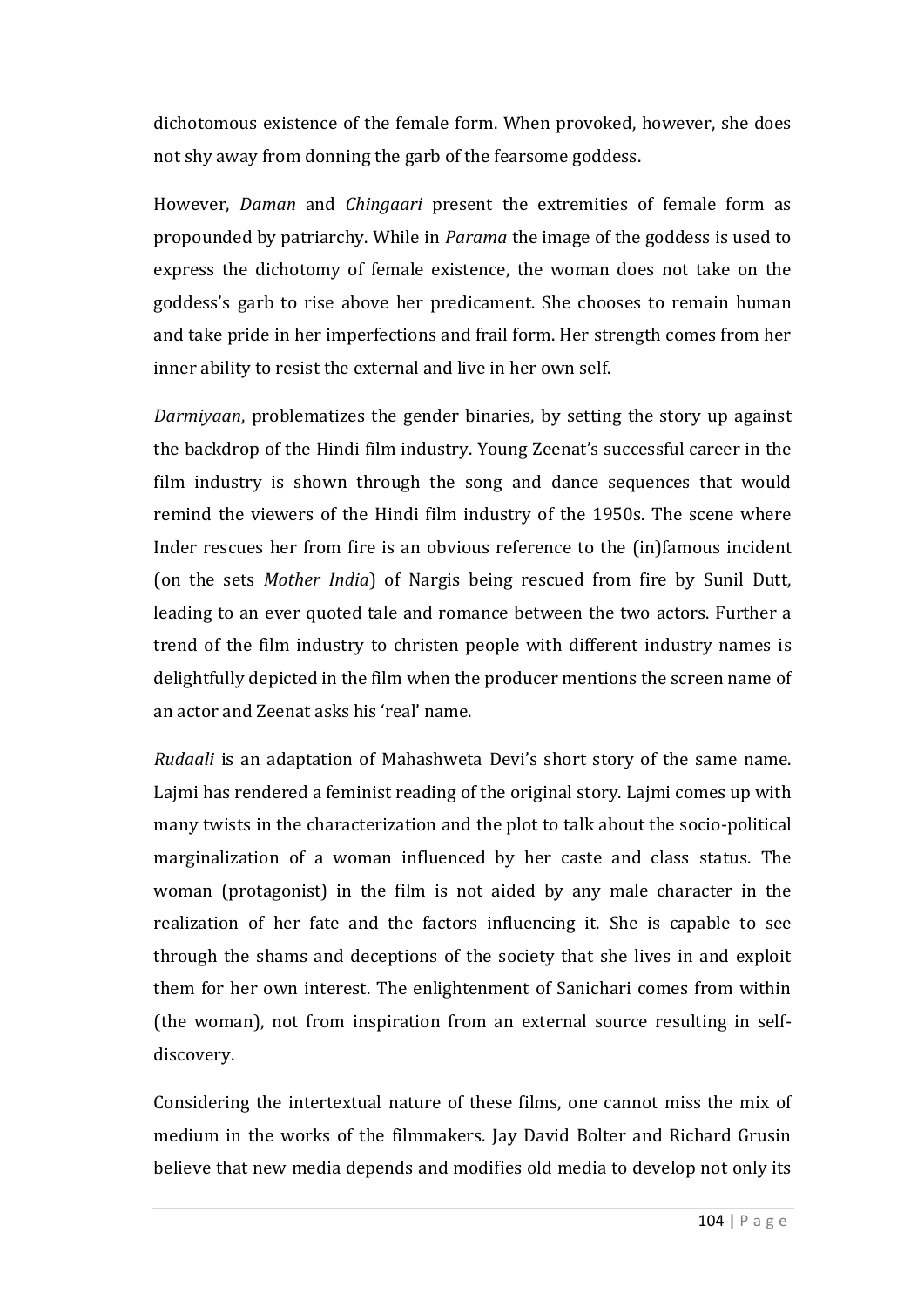dichotomous existence of the female form. When provoked, however, she does not shy away from donning the garb of the fearsome goddess.

However, *Daman* and *Chingaari* present the extremities of female form as propounded by patriarchy. While in *Parama* the image of the goddess is used to express the dichotomy of female existence, the woman does not take on the goddess's garb to rise above her predicament. She chooses to remain human and take pride in her imperfections and frail form. Her strength comes from her inner ability to resist the external and live in her own self.

*Darmiyaan*, problematizes the gender binaries, by setting the story up against the backdrop of the Hindi film industry. Young Zeenat's successful career in the film industry is shown through the song and dance sequences that would remind the viewers of the Hindi film industry of the 1950s. The scene where Inder rescues her from fire is an obvious reference to the (in)famous incident (on the sets *Mother India*) of Nargis being rescued from fire by Sunil Dutt, leading to an ever quoted tale and romance between the two actors. Further a trend of the film industry to christen people with different industry names is delightfully depicted in the film when the producer mentions the screen name of an actor and Zeenat asks his 'real' name.

*Rudaali* is an adaptation of Mahashweta Devi's short story of the same name. Lajmi has rendered a feminist reading of the original story. Lajmi comes up with many twists in the characterization and the plot to talk about the socio-political marginalization of a woman influenced by her caste and class status. The woman (protagonist) in the film is not aided by any male character in the realization of her fate and the factors influencing it. She is capable to see through the shams and deceptions of the society that she lives in and exploit them for her own interest. The enlightenment of Sanichari comes from within (the woman), not from inspiration from an external source resulting in selfdiscovery.

Considering the intertextual nature of these films, one cannot miss the mix of medium in the works of the filmmakers. Jay David Bolter and Richard Grusin believe that new media depends and modifies old media to develop not only its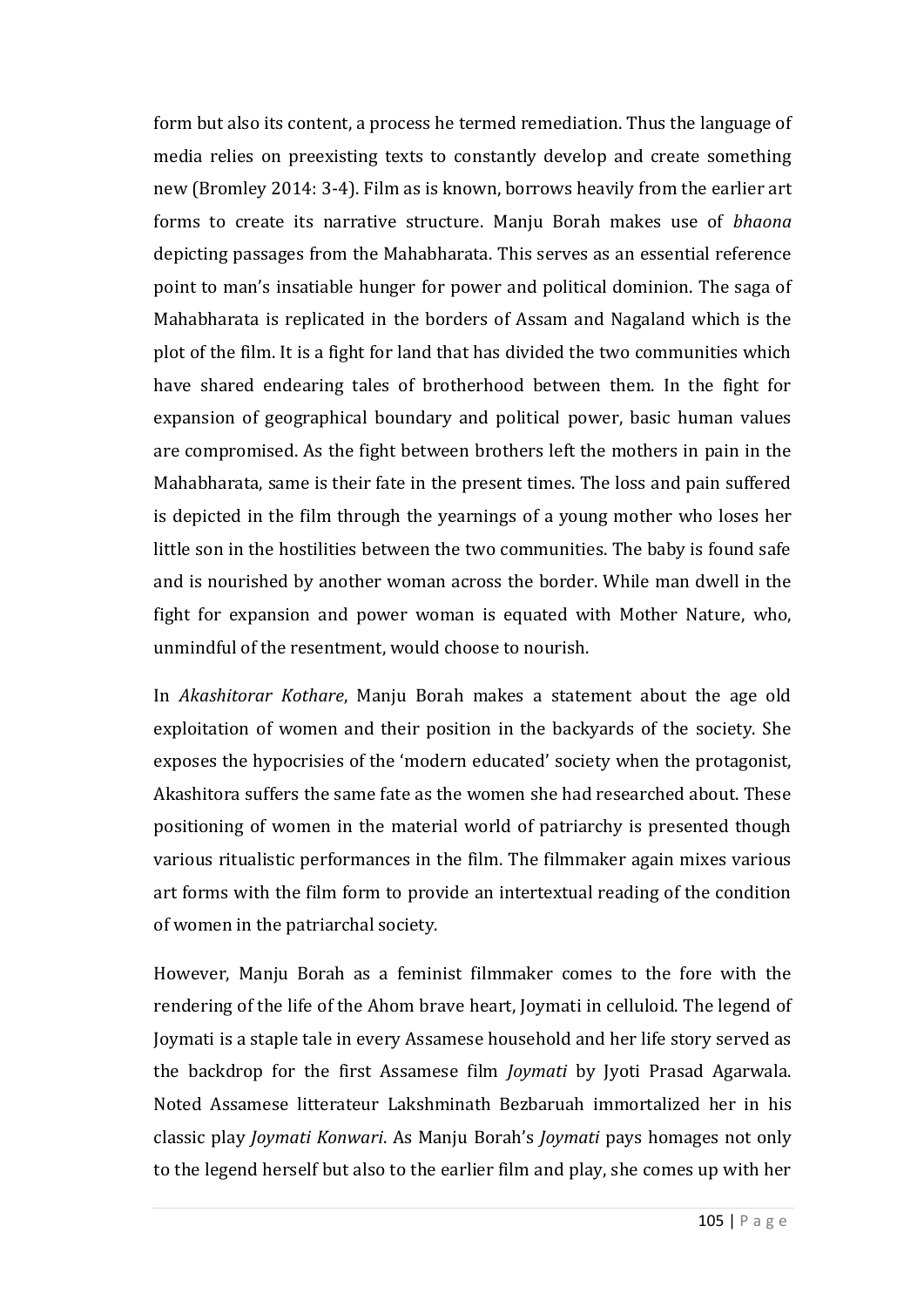form but also its content, a process he termed remediation. Thus the language of media relies on preexisting texts to constantly develop and create something new (Bromley 2014: 3-4). Film as is known, borrows heavily from the earlier art forms to create its narrative structure. Manju Borah makes use of *bhaona* depicting passages from the Mahabharata. This serves as an essential reference point to man's insatiable hunger for power and political dominion. The saga of Mahabharata is replicated in the borders of Assam and Nagaland which is the plot of the film. It is a fight for land that has divided the two communities which have shared endearing tales of brotherhood between them. In the fight for expansion of geographical boundary and political power, basic human values are compromised. As the fight between brothers left the mothers in pain in the Mahabharata, same is their fate in the present times. The loss and pain suffered is depicted in the film through the yearnings of a young mother who loses her little son in the hostilities between the two communities. The baby is found safe and is nourished by another woman across the border. While man dwell in the fight for expansion and power woman is equated with Mother Nature, who, unmindful of the resentment, would choose to nourish.

In *Akashitorar Kothare*, Manju Borah makes a statement about the age old exploitation of women and their position in the backyards of the society. She exposes the hypocrisies of the 'modern educated' society when the protagonist, Akashitora suffers the same fate as the women she had researched about. These positioning of women in the material world of patriarchy is presented though various ritualistic performances in the film. The filmmaker again mixes various art forms with the film form to provide an intertextual reading of the condition of women in the patriarchal society.

However, Manju Borah as a feminist filmmaker comes to the fore with the rendering of the life of the Ahom brave heart, Joymati in celluloid. The legend of Joymati is a staple tale in every Assamese household and her life story served as the backdrop for the first Assamese film *Joymati* by Jyoti Prasad Agarwala. Noted Assamese litterateur Lakshminath Bezbaruah immortalized her in his classic play *Joymati Konwari*. As Manju Borah's *Joymati* pays homages not only to the legend herself but also to the earlier film and play, she comes up with her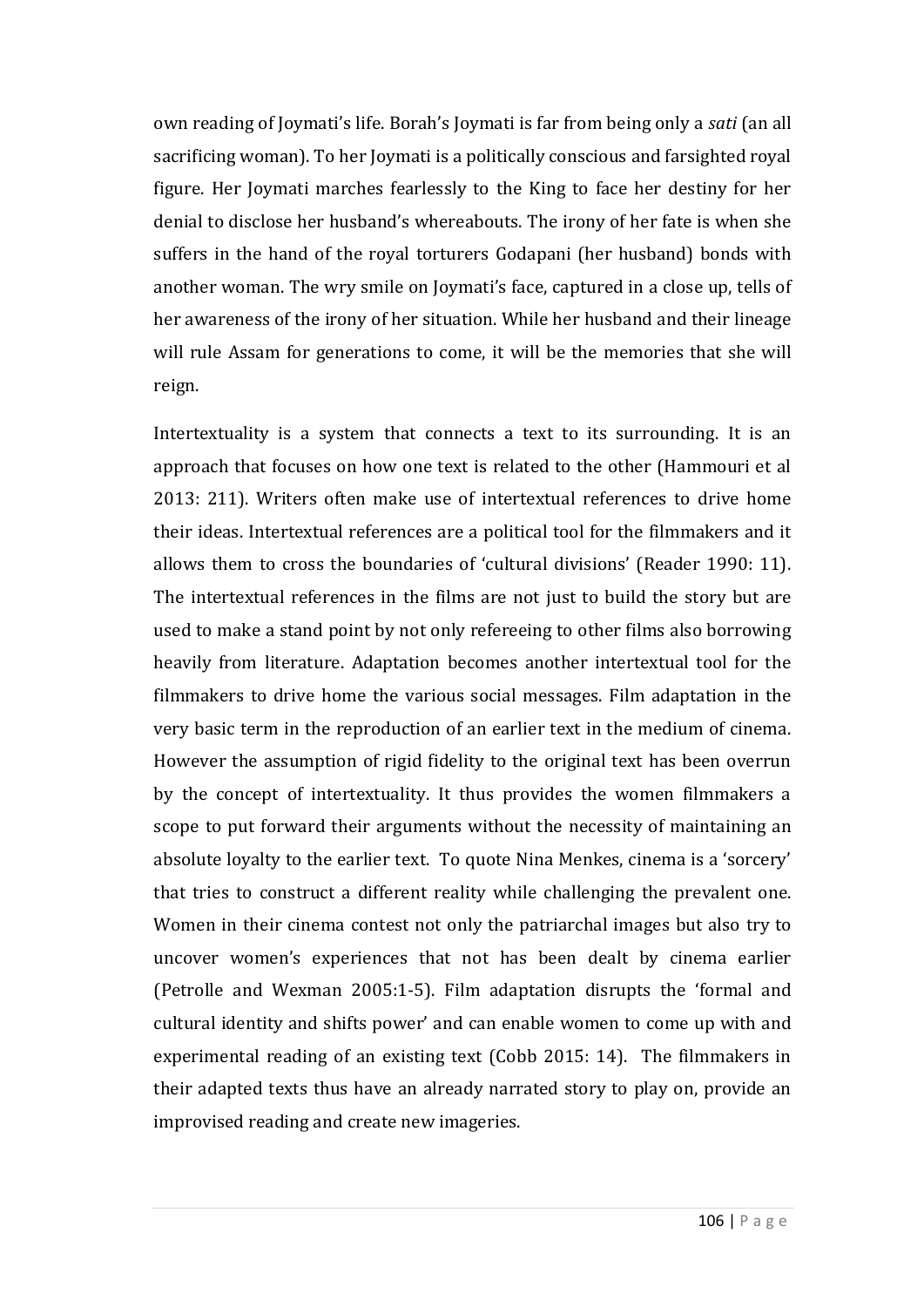own reading of Joymati's life. Borah's Joymati is far from being only a *sati* (an all sacrificing woman). To her Joymati is a politically conscious and farsighted royal figure. Her Joymati marches fearlessly to the King to face her destiny for her denial to disclose her husband's whereabouts. The irony of her fate is when she suffers in the hand of the royal torturers Godapani (her husband) bonds with another woman. The wry smile on Joymati's face, captured in a close up, tells of her awareness of the irony of her situation. While her husband and their lineage will rule Assam for generations to come, it will be the memories that she will reign.

Intertextuality is a system that connects a text to its surrounding. It is an approach that focuses on how one text is related to the other (Hammouri et al 2013: 211). Writers often make use of intertextual references to drive home their ideas. Intertextual references are a political tool for the filmmakers and it allows them to cross the boundaries of 'cultural divisions' (Reader 1990: 11). The intertextual references in the films are not just to build the story but are used to make a stand point by not only refereeing to other films also borrowing heavily from literature. Adaptation becomes another intertextual tool for the filmmakers to drive home the various social messages. Film adaptation in the very basic term in the reproduction of an earlier text in the medium of cinema. However the assumption of rigid fidelity to the original text has been overrun by the concept of intertextuality. It thus provides the women filmmakers a scope to put forward their arguments without the necessity of maintaining an absolute loyalty to the earlier text. To quote Nina Menkes, cinema is a 'sorcery' that tries to construct a different reality while challenging the prevalent one. Women in their cinema contest not only the patriarchal images but also try to uncover women's experiences that not has been dealt by cinema earlier (Petrolle and Wexman 2005:1-5). Film adaptation disrupts the 'formal and cultural identity and shifts power' and can enable women to come up with and experimental reading of an existing text (Cobb 2015: 14). The filmmakers in their adapted texts thus have an already narrated story to play on, provide an improvised reading and create new imageries.